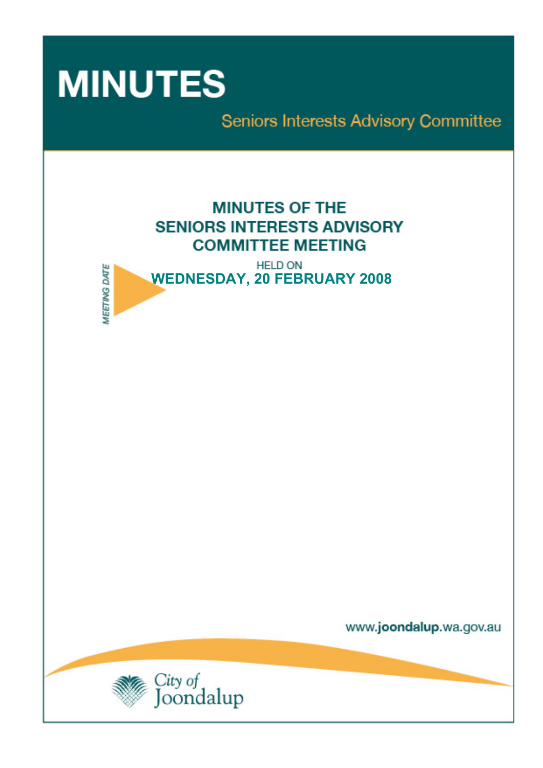

**MEETING DATE** 

Seniors Interests Advisory Committee

# **MINUTES OF THE SENIORS INTERESTS ADVISORY COMMITTEE MEETING**

**HELD ON WEDNESDAY, 20 FEBRUARY 2008** 

www.joondalup.wa.gov.au

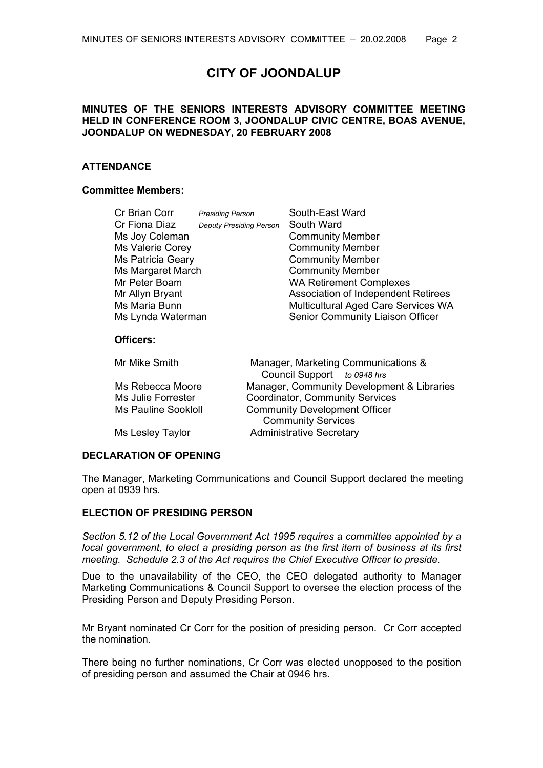# **CITY OF JOONDALUP**

# **MINUTES OF THE SENIORS INTERESTS ADVISORY COMMITTEE MEETING HELD IN CONFERENCE ROOM 3, JOONDALUP CIVIC CENTRE, BOAS AVENUE, JOONDALUP ON WEDNESDAY, 20 FEBRUARY 2008**

# **ATTENDANCE**

# **Committee Members:**

| Cr Brian Corr           | <b>Presiding Person</b>        | South-East Ward                            |
|-------------------------|--------------------------------|--------------------------------------------|
| Cr Fiona Diaz           | <b>Deputy Presiding Person</b> | South Ward                                 |
| Ms Joy Coleman          |                                | <b>Community Member</b>                    |
| <b>Ms Valerie Corey</b> |                                | <b>Community Member</b>                    |
| Ms Patricia Geary       |                                | <b>Community Member</b>                    |
| Ms Margaret March       |                                | <b>Community Member</b>                    |
| Mr Peter Boam           |                                | <b>WA Retirement Complexes</b>             |
| Mr Allyn Bryant         |                                | <b>Association of Independent Retirees</b> |
| Ms Maria Bunn           |                                | Multicultural Aged Care Services WA        |
| Ms Lynda Waterman       |                                | Senior Community Liaison Officer           |
| Officers:               |                                |                                            |
| Mr Mike Smith           |                                | Manager, Marketing Communications &        |
|                         |                                | Council Support to 0948 hrs                |
| $\cdots$                |                                |                                            |

| <b>IVIL IVIIKE SITIILIT</b> | Manager, Marketing Communications &        |
|-----------------------------|--------------------------------------------|
|                             | Council Support to 0948 hrs                |
| Ms Rebecca Moore            | Manager, Community Development & Libraries |
| Ms Julie Forrester          | Coordinator, Community Services            |
| <b>Ms Pauline Sookloll</b>  | <b>Community Development Officer</b>       |
|                             | <b>Community Services</b>                  |
| Ms Lesley Taylor            | <b>Administrative Secretary</b>            |
|                             |                                            |

# **DECLARATION OF OPENING**

The Manager, Marketing Communications and Council Support declared the meeting open at 0939 hrs.

# **ELECTION OF PRESIDING PERSON**

*Section 5.12 of the Local Government Act 1995 requires a committee appointed by a local government, to elect a presiding person as the first item of business at its first meeting. Schedule 2.3 of the Act requires the Chief Executive Officer to preside.* 

Due to the unavailability of the CEO, the CEO delegated authority to Manager Marketing Communications & Council Support to oversee the election process of the Presiding Person and Deputy Presiding Person.

Mr Bryant nominated Cr Corr for the position of presiding person. Cr Corr accepted the nomination.

There being no further nominations, Cr Corr was elected unopposed to the position of presiding person and assumed the Chair at 0946 hrs.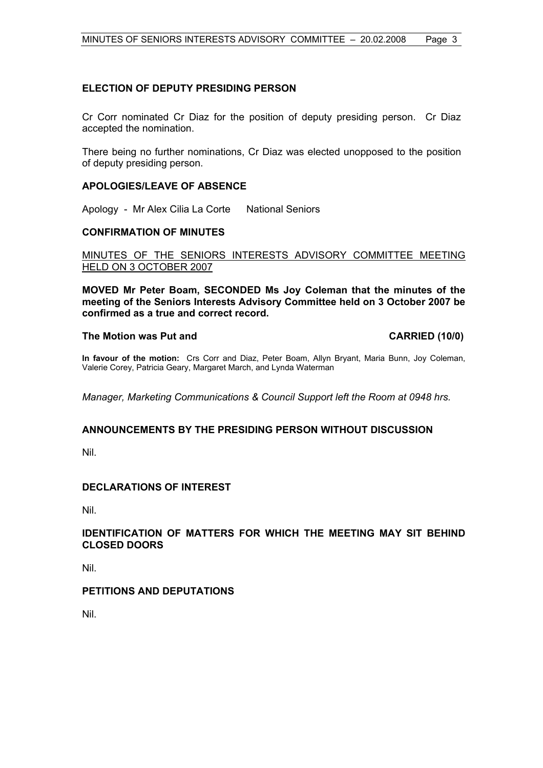# **ELECTION OF DEPUTY PRESIDING PERSON**

Cr Corr nominated Cr Diaz for the position of deputy presiding person. Cr Diaz accepted the nomination.

There being no further nominations, Cr Diaz was elected unopposed to the position of deputy presiding person.

# **APOLOGIES/LEAVE OF ABSENCE**

Apology - Mr Alex Cilia La Corte National Seniors

# **CONFIRMATION OF MINUTES**

MINUTES OF THE SENIORS INTERESTS ADVISORY COMMITTEE MEETING HELD ON 3 OCTOBER 2007

**MOVED Mr Peter Boam, SECONDED Ms Joy Coleman that the minutes of the meeting of the Seniors Interests Advisory Committee held on 3 October 2007 be confirmed as a true and correct record.** 

# The Motion was Put and **CARRIED** (10/0)

**In favour of the motion:** Crs Corr and Diaz, Peter Boam, Allyn Bryant, Maria Bunn, Joy Coleman, Valerie Corey, Patricia Geary, Margaret March, and Lynda Waterman

*Manager, Marketing Communications & Council Support left the Room at 0948 hrs.* 

# **ANNOUNCEMENTS BY THE PRESIDING PERSON WITHOUT DISCUSSION**

Nil.

# **DECLARATIONS OF INTEREST**

Nil.

# **IDENTIFICATION OF MATTERS FOR WHICH THE MEETING MAY SIT BEHIND CLOSED DOORS**

Nil.

# **PETITIONS AND DEPUTATIONS**

Nil.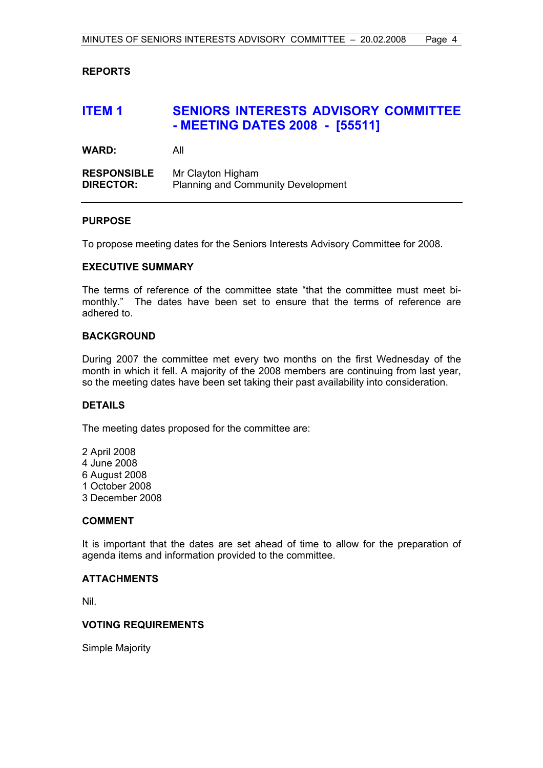# **REPORTS**

# **ITEM 1 SENIORS INTERESTS ADVISORY COMMITTEE - MEETING DATES 2008 - [55511]**

**WARD:** All

**RESPONSIBLE** Mr Clayton Higham **DIRECTOR:** Planning and Community Development

# **PURPOSE**

To propose meeting dates for the Seniors Interests Advisory Committee for 2008.

#### **EXECUTIVE SUMMARY**

The terms of reference of the committee state "that the committee must meet bimonthly." The dates have been set to ensure that the terms of reference are adhered to.

#### **BACKGROUND**

During 2007 the committee met every two months on the first Wednesday of the month in which it fell. A majority of the 2008 members are continuing from last year, so the meeting dates have been set taking their past availability into consideration.

# **DETAILS**

The meeting dates proposed for the committee are:

- 2 April 2008
- 4 June 2008
- 6 August 2008
- 1 October 2008
- 3 December 2008

# **COMMENT**

It is important that the dates are set ahead of time to allow for the preparation of agenda items and information provided to the committee.

# **ATTACHMENTS**

Nil.

# **VOTING REQUIREMENTS**

Simple Majority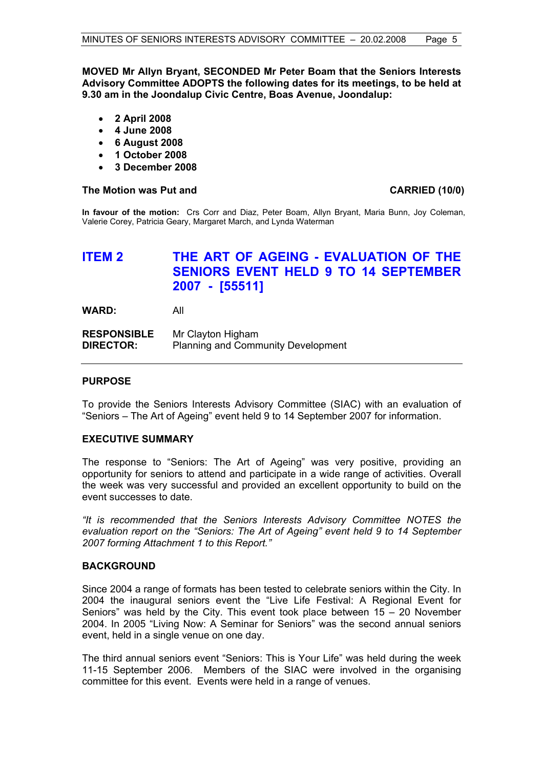**MOVED Mr Allyn Bryant, SECONDED Mr Peter Boam that the Seniors Interests Advisory Committee ADOPTS the following dates for its meetings, to be held at 9.30 am in the Joondalup Civic Centre, Boas Avenue, Joondalup:** 

- **2 April 2008**
- **4 June 2008**
- **6 August 2008**
- **1 October 2008**
- **3 December 2008**

# The Motion was Put and **CARRIED** (10/0)

**In favour of the motion:** Crs Corr and Diaz, Peter Boam, Allyn Bryant, Maria Bunn, Joy Coleman, Valerie Corey, Patricia Geary, Margaret March, and Lynda Waterman

# **ITEM 2 THE ART OF AGEING - EVALUATION OF THE SENIORS EVENT HELD 9 TO 14 SEPTEMBER 2007 - [55511]**

**WARD:** All

**RESPONSIBLE** Mr Clayton Higham **DIRECTOR:** Planning and Community Development

# **PURPOSE**

To provide the Seniors Interests Advisory Committee (SIAC) with an evaluation of "Seniors – The Art of Ageing" event held 9 to 14 September 2007 for information.

# **EXECUTIVE SUMMARY**

The response to "Seniors: The Art of Ageing" was very positive, providing an opportunity for seniors to attend and participate in a wide range of activities. Overall the week was very successful and provided an excellent opportunity to build on the event successes to date.

*"It is recommended that the Seniors Interests Advisory Committee NOTES the evaluation report on the "Seniors: The Art of Ageing" event held 9 to 14 September 2007 forming Attachment 1 to this Report."* 

# **BACKGROUND**

Since 2004 a range of formats has been tested to celebrate seniors within the City. In 2004 the inaugural seniors event the "Live Life Festival: A Regional Event for Seniors" was held by the City. This event took place between  $15 - 20$  November 2004. In 2005 "Living Now: A Seminar for Seniors" was the second annual seniors event, held in a single venue on one day.

The third annual seniors event "Seniors: This is Your Life" was held during the week 11-15 September 2006.Members of the SIAC were involved in the organising committee for this event. Events were held in a range of venues.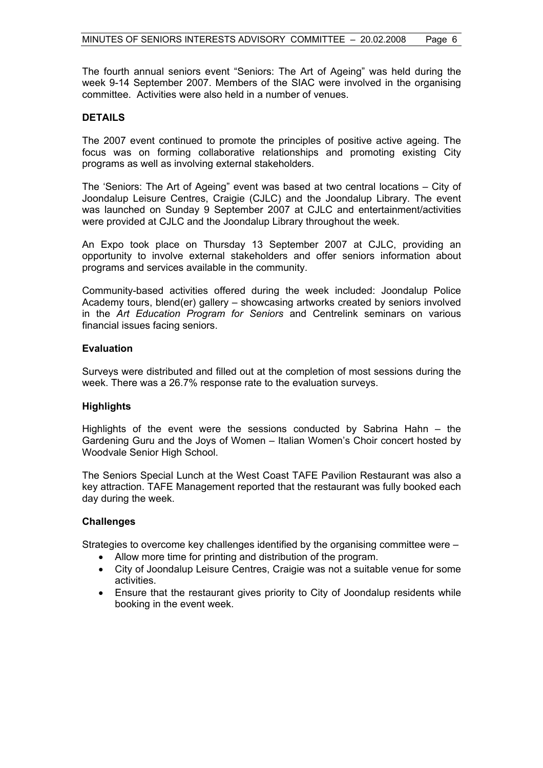The fourth annual seniors event "Seniors: The Art of Ageing" was held during the week 9-14 September 2007. Members of the SIAC were involved in the organising committee. Activities were also held in a number of venues.

# **DETAILS**

The 2007 event continued to promote the principles of positive active ageing. The focus was on forming collaborative relationships and promoting existing City programs as well as involving external stakeholders.

The 'Seniors: The Art of Ageing" event was based at two central locations – City of Joondalup Leisure Centres, Craigie (CJLC) and the Joondalup Library. The event was launched on Sunday 9 September 2007 at CJLC and entertainment/activities were provided at CJLC and the Joondalup Library throughout the week.

An Expo took place on Thursday 13 September 2007 at CJLC, providing an opportunity to involve external stakeholders and offer seniors information about programs and services available in the community.

Community-based activities offered during the week included: Joondalup Police Academy tours, blend(er) gallery – showcasing artworks created by seniors involved in the *Art Education Program for Seniors* and Centrelink seminars on various financial issues facing seniors.

# **Evaluation**

Surveys were distributed and filled out at the completion of most sessions during the week. There was a 26.7% response rate to the evaluation surveys.

# **Highlights**

Highlights of the event were the sessions conducted by Sabrina Hahn – the Gardening Guru and the Joys of Women – Italian Women's Choir concert hosted by Woodvale Senior High School.

The Seniors Special Lunch at the West Coast TAFE Pavilion Restaurant was also a key attraction. TAFE Management reported that the restaurant was fully booked each day during the week.

# **Challenges**

Strategies to overcome key challenges identified by the organising committee were –

- Allow more time for printing and distribution of the program.
- City of Joondalup Leisure Centres, Craigie was not a suitable venue for some activities.
- Ensure that the restaurant gives priority to City of Joondalup residents while booking in the event week.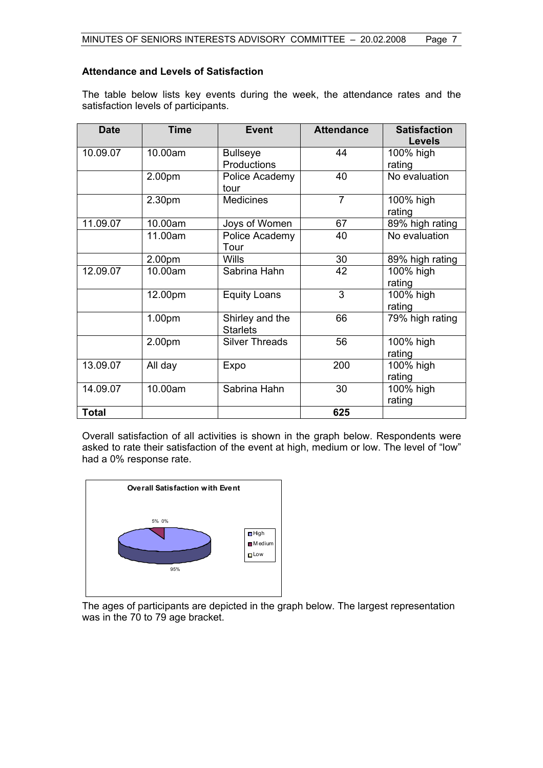# **Attendance and Levels of Satisfaction**

The table below lists key events during the week, the attendance rates and the satisfaction levels of participants.

| <b>Date</b>  | <b>Time</b> | <b>Event</b>                       | <b>Attendance</b> | <b>Satisfaction</b> |
|--------------|-------------|------------------------------------|-------------------|---------------------|
|              |             |                                    |                   | <b>Levels</b>       |
| 10.09.07     | 10.00am     | <b>Bullseye</b>                    | 44                | 100% high           |
|              |             | Productions                        |                   | rating              |
|              | 2.00pm      | Police Academy                     | 40                | No evaluation       |
|              |             | tour                               |                   |                     |
|              | 2.30pm      | <b>Medicines</b>                   | $\overline{7}$    | 100% high<br>rating |
| 11.09.07     | 10.00am     | Joys of Women                      | 67                | 89% high rating     |
|              | 11.00am     | Police Academy                     | 40                | No evaluation       |
|              |             | Tour                               |                   |                     |
|              | 2.00pm      | <b>Wills</b>                       | 30                | 89% high rating     |
| 12.09.07     | 10.00am     | Sabrina Hahn                       | 42                | 100% high           |
|              |             |                                    |                   | rating              |
|              | 12.00pm     | <b>Equity Loans</b>                | 3                 | 100% high           |
|              |             |                                    |                   | rating              |
|              | 1.00pm      | Shirley and the<br><b>Starlets</b> | 66                | 79% high rating     |
|              | 2.00pm      | <b>Silver Threads</b>              | 56                | 100% high           |
|              |             |                                    |                   | rating              |
| 13.09.07     | All day     | Expo                               | 200               | 100% high           |
|              |             |                                    |                   | rating              |
| 14.09.07     | 10.00am     | Sabrina Hahn                       | 30                | 100% high           |
|              |             |                                    |                   | rating              |
| <b>Total</b> |             |                                    | 625               |                     |

Overall satisfaction of all activities is shown in the graph below. Respondents were asked to rate their satisfaction of the event at high, medium or low. The level of "low" had a 0% response rate.



The ages of participants are depicted in the graph below. The largest representation was in the 70 to 79 age bracket.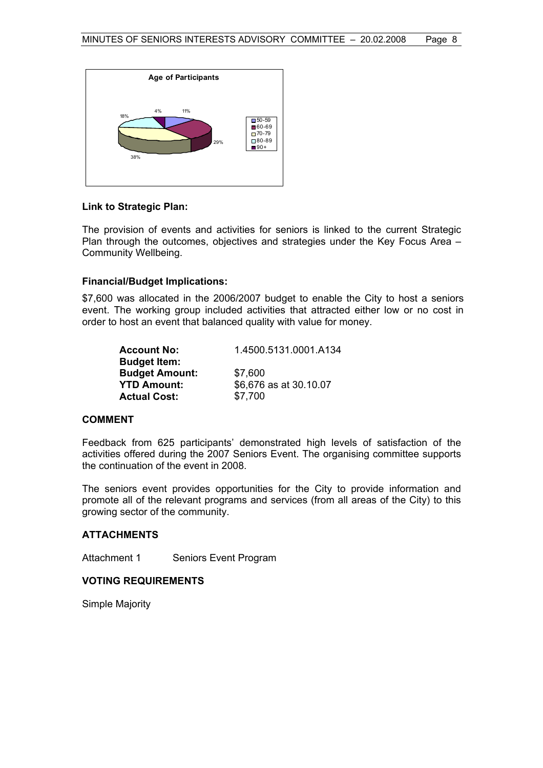

#### **Link to Strategic Plan:**

The provision of events and activities for seniors is linked to the current Strategic Plan through the outcomes, objectives and strategies under the Key Focus Area – Community Wellbeing.

#### **Financial/Budget Implications:**

\$7,600 was allocated in the 2006/2007 budget to enable the City to host a seniors event. The working group included activities that attracted either low or no cost in order to host an event that balanced quality with value for money.

| <b>Account No:</b>    | 1.4500.5131.0001.A134  |
|-----------------------|------------------------|
| <b>Budget Item:</b>   |                        |
| <b>Budget Amount:</b> | \$7,600                |
| <b>YTD Amount:</b>    | \$6,676 as at 30.10.07 |
| <b>Actual Cost:</b>   | \$7,700                |

# **COMMENT**

Feedback from 625 participants' demonstrated high levels of satisfaction of the activities offered during the 2007 Seniors Event. The organising committee supports the continuation of the event in 2008.

The seniors event provides opportunities for the City to provide information and promote all of the relevant programs and services (from all areas of the City) to this growing sector of the community.

# **ATTACHMENTS**

Attachment 1 Seniors Event Program

# **VOTING REQUIREMENTS**

Simple Majority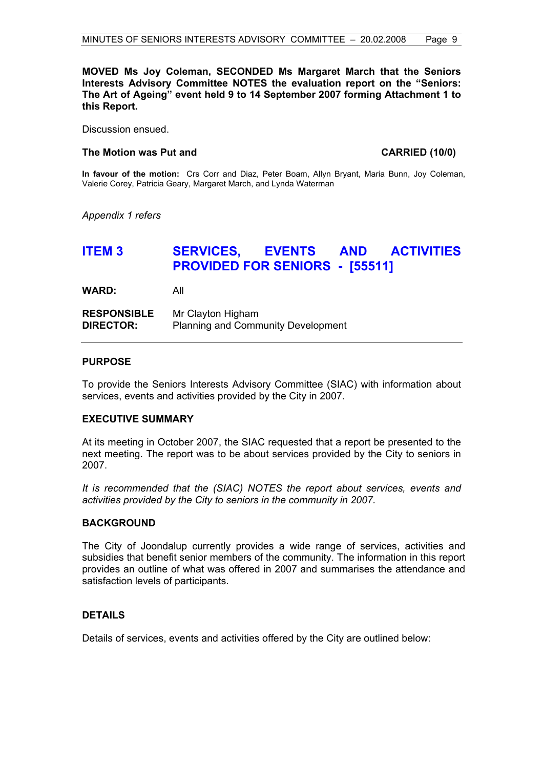# **MOVED Ms Joy Coleman, SECONDED Ms Margaret March that the Seniors Interests Advisory Committee NOTES the evaluation report on the "Seniors: The Art of Ageing" event held 9 to 14 September 2007 forming Attachment 1 to this Report.**

Discussion ensued.

#### The Motion was Put and **CARRIED** (10/0)

**In favour of the motion:** Crs Corr and Diaz, Peter Boam, Allyn Bryant, Maria Bunn, Joy Coleman, Valerie Corey, Patricia Geary, Margaret March, and Lynda Waterman

*Appendix 1 refers* 

# **ITEM 3 SERVICES, EVENTS AND ACTIVITIES PROVIDED FOR SENIORS - [55511]**

**WARD:** All

**RESPONSIBLE** Mr Clayton Higham **DIRECTOR:** Planning and Community Development

#### **PURPOSE**

To provide the Seniors Interests Advisory Committee (SIAC) with information about services, events and activities provided by the City in 2007.

# **EXECUTIVE SUMMARY**

At its meeting in October 2007, the SIAC requested that a report be presented to the next meeting. The report was to be about services provided by the City to seniors in 2007.

*It is recommended that the (SIAC) NOTES the report about services, events and activities provided by the City to seniors in the community in 2007.* 

#### **BACKGROUND**

The City of Joondalup currently provides a wide range of services, activities and subsidies that benefit senior members of the community. The information in this report provides an outline of what was offered in 2007 and summarises the attendance and satisfaction levels of participants.

# **DETAILS**

Details of services, events and activities offered by the City are outlined below: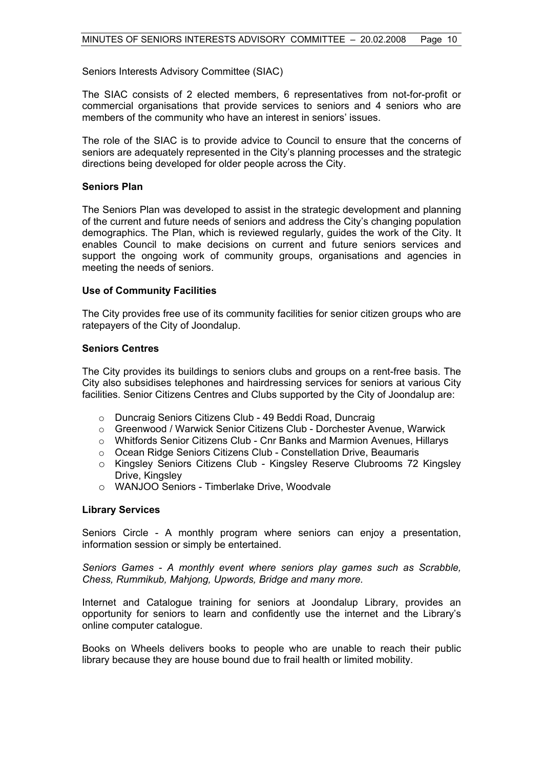Seniors Interests Advisory Committee (SIAC)

The SIAC consists of 2 elected members, 6 representatives from not-for-profit or commercial organisations that provide services to seniors and 4 seniors who are members of the community who have an interest in seniors' issues.

The role of the SIAC is to provide advice to Council to ensure that the concerns of seniors are adequately represented in the City's planning processes and the strategic directions being developed for older people across the City.

# **Seniors Plan**

The Seniors Plan was developed to assist in the strategic development and planning of the current and future needs of seniors and address the City's changing population demographics. The Plan, which is reviewed regularly, guides the work of the City. It enables Council to make decisions on current and future seniors services and support the ongoing work of community groups, organisations and agencies in meeting the needs of seniors.

# **Use of Community Facilities**

The City provides free use of its community facilities for senior citizen groups who are ratepayers of the City of Joondalup.

# **Seniors Centres**

The City provides its buildings to seniors clubs and groups on a rent-free basis. The City also subsidises telephones and hairdressing services for seniors at various City facilities. Senior Citizens Centres and Clubs supported by the City of Joondalup are:

- o Duncraig Seniors Citizens Club 49 Beddi Road, Duncraig
- o Greenwood / Warwick Senior Citizens Club Dorchester Avenue, Warwick
- o Whitfords Senior Citizens Club Cnr Banks and Marmion Avenues, Hillarys
- o Ocean Ridge Seniors Citizens Club Constellation Drive, Beaumaris
- o Kingsley Seniors Citizens Club Kingsley Reserve Clubrooms 72 Kingsley Drive, Kingsley
- o WANJOO Seniors Timberlake Drive, Woodvale

# **Library Services**

Seniors Circle - A monthly program where seniors can enjoy a presentation, information session or simply be entertained.

*Seniors Games - A monthly event where seniors play games such as Scrabble, Chess, Rummikub, Mahjong, Upwords, Bridge and many more.* 

Internet and Catalogue training for seniors at Joondalup Library, provides an opportunity for seniors to learn and confidently use the internet and the Library's online computer catalogue.

Books on Wheels delivers books to people who are unable to reach their public library because they are house bound due to frail health or limited mobility.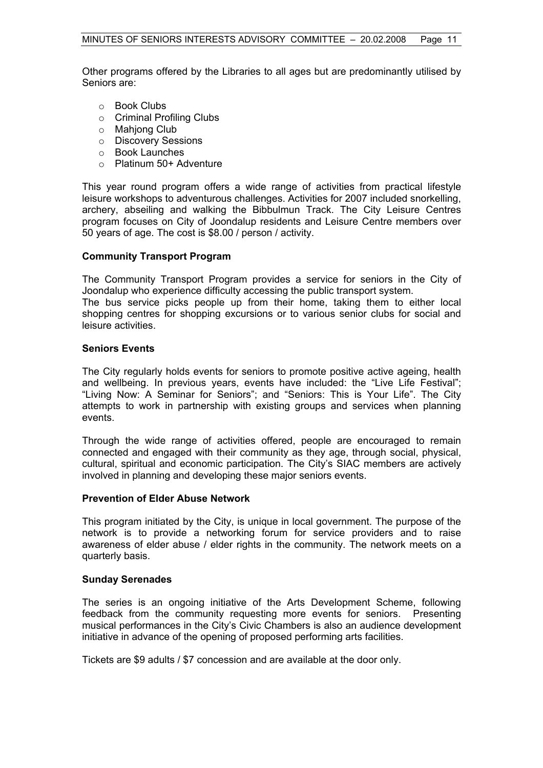Other programs offered by the Libraries to all ages but are predominantly utilised by Seniors are:

- o Book Clubs
- o Criminal Profiling Clubs
- o Mahjong Club
- o Discovery Sessions
- o Book Launches
- o Platinum 50+ Adventure

This year round program offers a wide range of activities from practical lifestyle leisure workshops to adventurous challenges. Activities for 2007 included snorkelling, archery, abseiling and walking the Bibbulmun Track. The City Leisure Centres program focuses on City of Joondalup residents and Leisure Centre members over 50 years of age. The cost is \$8.00 / person / activity.

# **Community Transport Program**

The Community Transport Program provides a service for seniors in the City of Joondalup who experience difficulty accessing the public transport system.

The bus service picks people up from their home, taking them to either local shopping centres for shopping excursions or to various senior clubs for social and leisure activities.

# **Seniors Events**

The City regularly holds events for seniors to promote positive active ageing, health and wellbeing. In previous years, events have included: the "Live Life Festival"; "Living Now: A Seminar for Seniors"; and "Seniors: This is Your Life". The City attempts to work in partnership with existing groups and services when planning events.

Through the wide range of activities offered, people are encouraged to remain connected and engaged with their community as they age, through social, physical, cultural, spiritual and economic participation. The City's SIAC members are actively involved in planning and developing these major seniors events.

# **Prevention of Elder Abuse Network**

This program initiated by the City, is unique in local government. The purpose of the network is to provide a networking forum for service providers and to raise awareness of elder abuse / elder rights in the community. The network meets on a quarterly basis.

# **Sunday Serenades**

The series is an ongoing initiative of the Arts Development Scheme, following feedback from the community requesting more events for seniors. Presenting musical performances in the City's Civic Chambers is also an audience development initiative in advance of the opening of proposed performing arts facilities.

Tickets are \$9 adults / \$7 concession and are available at the door only.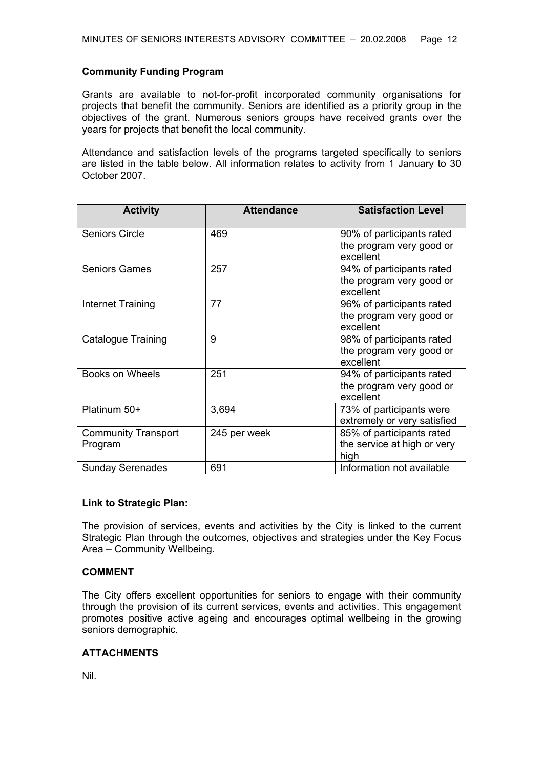# **Community Funding Program**

Grants are available to not-for-profit incorporated community organisations for projects that benefit the community. Seniors are identified as a priority group in the objectives of the grant. Numerous seniors groups have received grants over the years for projects that benefit the local community.

Attendance and satisfaction levels of the programs targeted specifically to seniors are listed in the table below. All information relates to activity from 1 January to 30 October 2007.

| <b>Activity</b>                       | <b>Attendance</b> | <b>Satisfaction Level</b>                                          |
|---------------------------------------|-------------------|--------------------------------------------------------------------|
| <b>Seniors Circle</b>                 | 469               | 90% of participants rated<br>the program very good or<br>excellent |
| <b>Seniors Games</b>                  | 257               | 94% of participants rated<br>the program very good or<br>excellent |
| Internet Training                     | 77                | 96% of participants rated<br>the program very good or<br>excellent |
| <b>Catalogue Training</b>             | 9                 | 98% of participants rated<br>the program very good or<br>excellent |
| Books on Wheels                       | 251               | 94% of participants rated<br>the program very good or<br>excellent |
| Platinum 50+                          | 3,694             | 73% of participants were<br>extremely or very satisfied            |
| <b>Community Transport</b><br>Program | 245 per week      | 85% of participants rated<br>the service at high or very<br>high   |
| <b>Sunday Serenades</b>               | 691               | Information not available                                          |

# **Link to Strategic Plan:**

The provision of services, events and activities by the City is linked to the current Strategic Plan through the outcomes, objectives and strategies under the Key Focus Area – Community Wellbeing.

# **COMMENT**

The City offers excellent opportunities for seniors to engage with their community through the provision of its current services, events and activities. This engagement promotes positive active ageing and encourages optimal wellbeing in the growing seniors demographic.

# **ATTACHMENTS**

Nil.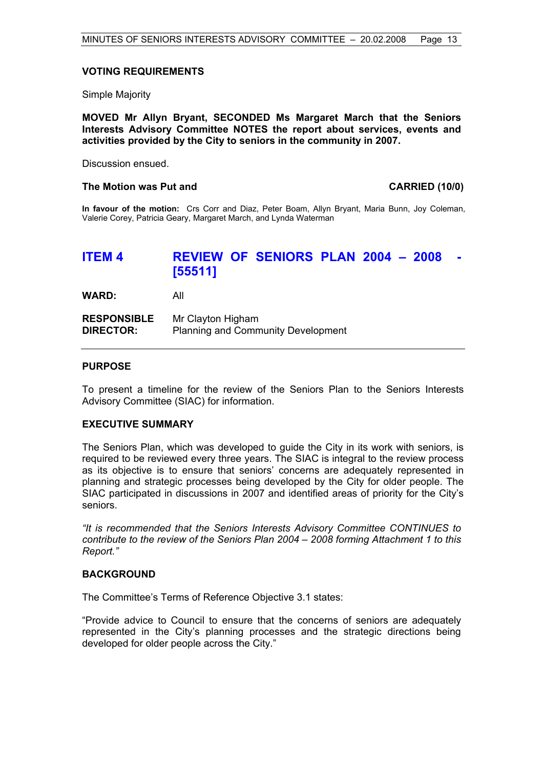#### **VOTING REQUIREMENTS**

Simple Majority

**MOVED Mr Allyn Bryant, SECONDED Ms Margaret March that the Seniors Interests Advisory Committee NOTES the report about services, events and activities provided by the City to seniors in the community in 2007.** 

Discussion ensued.

#### **The Motion was Put and CARRIED (10/0)**

**In favour of the motion:** Crs Corr and Diaz, Peter Boam, Allyn Bryant, Maria Bunn, Joy Coleman, Valerie Corey, Patricia Geary, Margaret March, and Lynda Waterman

# **ITEM 4 REVIEW OF SENIORS PLAN 2004 - 2008 [55511]**

**WARD:** All

| <b>RESPONSIBLE</b> | Mr Clayton Higham                         |
|--------------------|-------------------------------------------|
| <b>DIRECTOR:</b>   | <b>Planning and Community Development</b> |

#### **PURPOSE**

To present a timeline for the review of the Seniors Plan to the Seniors Interests Advisory Committee (SIAC) for information.

# **EXECUTIVE SUMMARY**

The Seniors Plan, which was developed to guide the City in its work with seniors, is required to be reviewed every three years. The SIAC is integral to the review process as its objective is to ensure that seniors' concerns are adequately represented in planning and strategic processes being developed by the City for older people. The SIAC participated in discussions in 2007 and identified areas of priority for the City's seniors.

*"It is recommended that the Seniors Interests Advisory Committee CONTINUES to contribute to the review of the Seniors Plan 2004 – 2008 forming Attachment 1 to this Report."* 

# **BACKGROUND**

The Committee's Terms of Reference Objective 3.1 states:

"Provide advice to Council to ensure that the concerns of seniors are adequately represented in the City's planning processes and the strategic directions being developed for older people across the City."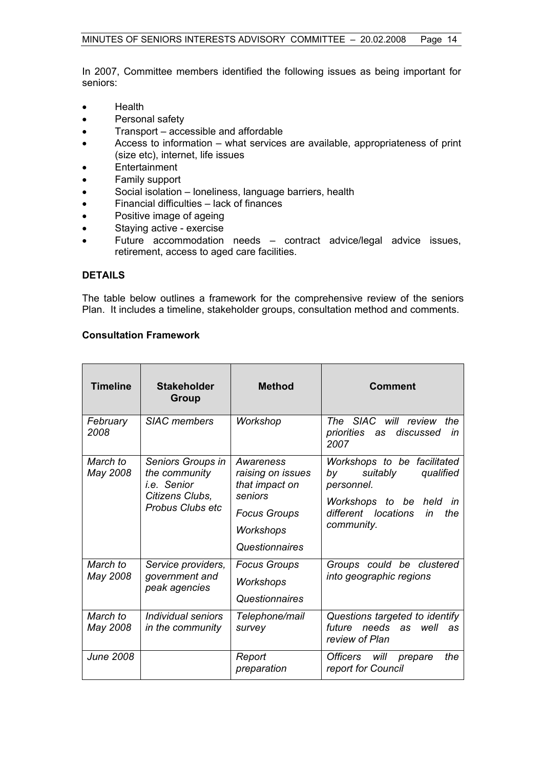In 2007, Committee members identified the following issues as being important for seniors:

- Health
- Personal safety
- Transport accessible and affordable
- Access to information what services are available, appropriateness of print (size etc), internet, life issues
- Entertainment
- Family support
- Social isolation loneliness, language barriers, health
- Financial difficulties lack of finances
- Positive image of ageing
- Staying active exercise
- Future accommodation needs contract advice/legal advice issues, retirement, access to aged care facilities.

# **DETAILS**

The table below outlines a framework for the comprehensive review of the seniors Plan. It includes a timeline, stakeholder groups, consultation method and comments.

# **Consultation Framework**

| <b>Timeline</b>      | <b>Stakeholder</b><br>Group                                                                     | <b>Method</b>                                                                                                     | <b>Comment</b>                                                                                                                                              |
|----------------------|-------------------------------------------------------------------------------------------------|-------------------------------------------------------------------------------------------------------------------|-------------------------------------------------------------------------------------------------------------------------------------------------------------|
| February<br>2008     | <b>SIAC</b> members                                                                             | Workshop                                                                                                          | The SIAC will review<br>the<br>priorities<br>discussed<br>in<br>as<br>2007                                                                                  |
| March to<br>May 2008 | Seniors Groups in<br>the community<br>i.e. Senior<br>Citizens Clubs,<br><b>Probus Clubs etc</b> | Awareness<br>raising on issues<br>that impact on<br>seniors<br><b>Focus Groups</b><br>Workshops<br>Questionnaires | Workshops to be facilitated<br>suitably<br>qualified<br>by<br>personnel.<br>Workshops to be<br>held<br>in<br>different locations<br>in<br>the<br>community. |
| March to<br>May 2008 | Service providers,<br>government and<br>peak agencies                                           | <b>Focus Groups</b><br>Workshops<br>Questionnaires                                                                | Groups could be clustered<br>into geographic regions                                                                                                        |
| March to<br>May 2008 | Individual seniors<br>in the community                                                          | Telephone/mail<br>survey                                                                                          | Questions targeted to identify<br>future needs as<br>well<br>as<br>review of Plan                                                                           |
| <b>June 2008</b>     |                                                                                                 | Report<br>preparation                                                                                             | Officers will<br>the<br>prepare<br>report for Council                                                                                                       |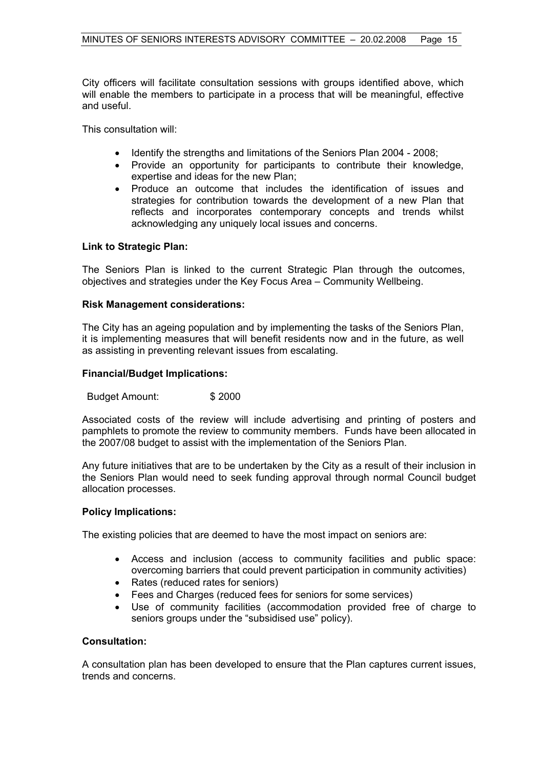City officers will facilitate consultation sessions with groups identified above, which will enable the members to participate in a process that will be meaningful, effective and useful.

This consultation will:

- Identify the strengths and limitations of the Seniors Plan 2004 2008;
- Provide an opportunity for participants to contribute their knowledge, expertise and ideas for the new Plan;
- Produce an outcome that includes the identification of issues and strategies for contribution towards the development of a new Plan that reflects and incorporates contemporary concepts and trends whilst acknowledging any uniquely local issues and concerns.

# **Link to Strategic Plan:**

The Seniors Plan is linked to the current Strategic Plan through the outcomes, objectives and strategies under the Key Focus Area – Community Wellbeing.

#### **Risk Management considerations:**

The City has an ageing population and by implementing the tasks of the Seniors Plan, it is implementing measures that will benefit residents now and in the future, as well as assisting in preventing relevant issues from escalating.

#### **Financial/Budget Implications:**

Budget Amount: \$ 2000

Associated costs of the review will include advertising and printing of posters and pamphlets to promote the review to community members. Funds have been allocated in the 2007/08 budget to assist with the implementation of the Seniors Plan.

Any future initiatives that are to be undertaken by the City as a result of their inclusion in the Seniors Plan would need to seek funding approval through normal Council budget allocation processes.

# **Policy Implications:**

The existing policies that are deemed to have the most impact on seniors are:

- Access and inclusion (access to community facilities and public space: overcoming barriers that could prevent participation in community activities)
- Rates (reduced rates for seniors)
- Fees and Charges (reduced fees for seniors for some services)
- Use of community facilities (accommodation provided free of charge to seniors groups under the "subsidised use" policy).

# **Consultation:**

A consultation plan has been developed to ensure that the Plan captures current issues, trends and concerns.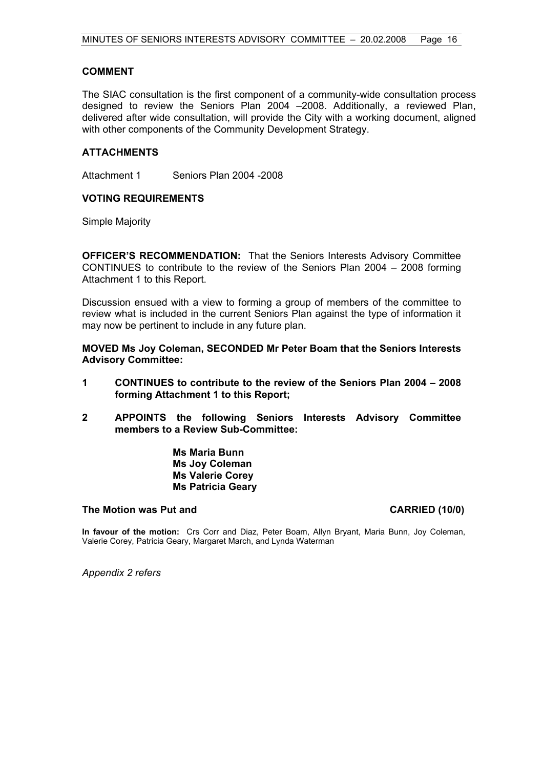# **COMMENT**

The SIAC consultation is the first component of a community-wide consultation process designed to review the Seniors Plan 2004 –2008. Additionally, a reviewed Plan, delivered after wide consultation, will provide the City with a working document, aligned with other components of the Community Development Strategy.

# **ATTACHMENTS**

Attachment 1 Seniors Plan 2004 -2008

# **VOTING REQUIREMENTS**

Simple Majority

**OFFICER'S RECOMMENDATION:** That the Seniors Interests Advisory Committee CONTINUES to contribute to the review of the Seniors Plan 2004 – 2008 forming Attachment 1 to this Report.

Discussion ensued with a view to forming a group of members of the committee to review what is included in the current Seniors Plan against the type of information it may now be pertinent to include in any future plan.

**MOVED Ms Joy Coleman, SECONDED Mr Peter Boam that the Seniors Interests Advisory Committee:** 

- **1 CONTINUES to contribute to the review of the Seniors Plan 2004 2008 forming Attachment 1 to this Report;**
- **2 APPOINTS the following Seniors Interests Advisory Committee members to a Review Sub-Committee:**

 **Ms Maria Bunn Ms Joy Coleman Ms Valerie Corey Ms Patricia Geary** 

# **The Motion was Put and CARRIED (10/0)**

**In favour of the motion:** Crs Corr and Diaz, Peter Boam, Allyn Bryant, Maria Bunn, Joy Coleman, Valerie Corey, Patricia Geary, Margaret March, and Lynda Waterman

*Appendix 2 refers*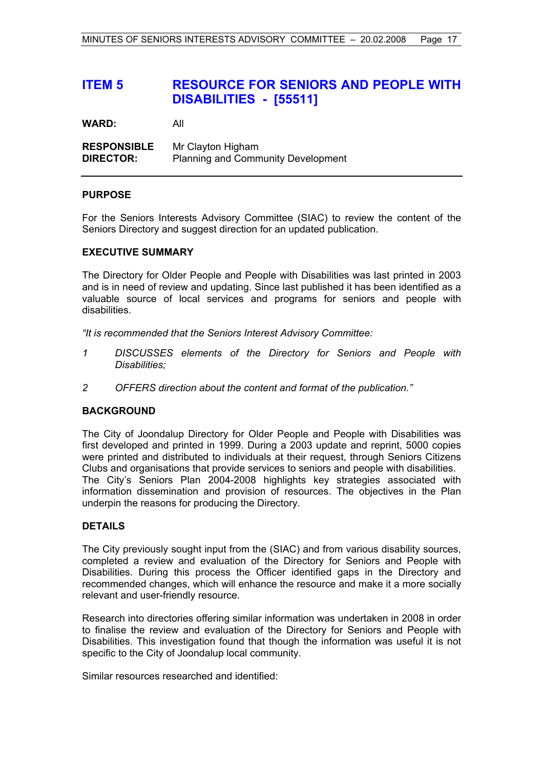# **ITEM 5 RESOURCE FOR SENIORS AND PEOPLE WITH DISABILITIES - [55511]**

**WARD:** All

**RESPONSIBLE** Mr Clayton Higham **DIRECTOR:** Planning and Community Development

# **PURPOSE**

For the Seniors Interests Advisory Committee (SIAC) to review the content of the Seniors Directory and suggest direction for an updated publication.

# **EXECUTIVE SUMMARY**

The Directory for Older People and People with Disabilities was last printed in 2003 and is in need of review and updating. Since last published it has been identified as a valuable source of local services and programs for seniors and people with disabilities.

*"It is recommended that the Seniors Interest Advisory Committee:* 

- *1 DISCUSSES elements of the Directory for Seniors and People with Disabilities;*
- *2 OFFERS direction about the content and format of the publication."*

# **BACKGROUND**

The City of Joondalup Directory for Older People and People with Disabilities was first developed and printed in 1999. During a 2003 update and reprint, 5000 copies were printed and distributed to individuals at their request, through Seniors Citizens Clubs and organisations that provide services to seniors and people with disabilities. The City's Seniors Plan 2004-2008 highlights key strategies associated with information dissemination and provision of resources. The objectives in the Plan underpin the reasons for producing the Directory.

# **DETAILS**

The City previously sought input from the (SIAC) and from various disability sources, completed a review and evaluation of the Directory for Seniors and People with Disabilities. During this process the Officer identified gaps in the Directory and recommended changes, which will enhance the resource and make it a more socially relevant and user-friendly resource.

Research into directories offering similar information was undertaken in 2008 in order to finalise the review and evaluation of the Directory for Seniors and People with Disabilities. This investigation found that though the information was useful it is not specific to the City of Joondalup local community.

Similar resources researched and identified: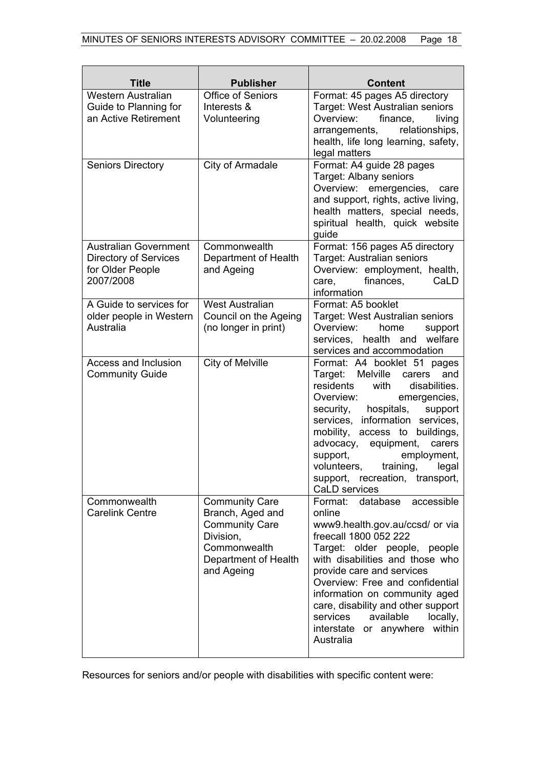| <b>Title</b>                                                                                  | <b>Publisher</b>                                                                                                                      | <b>Content</b>                                                                                                                                                                                                                                                                                                                                                                                                    |
|-----------------------------------------------------------------------------------------------|---------------------------------------------------------------------------------------------------------------------------------------|-------------------------------------------------------------------------------------------------------------------------------------------------------------------------------------------------------------------------------------------------------------------------------------------------------------------------------------------------------------------------------------------------------------------|
| <b>Western Australian</b><br>Guide to Planning for<br>an Active Retirement                    | Office of Seniors<br>Interests &<br>Volunteering                                                                                      | Format: 45 pages A5 directory<br>Target: West Australian seniors<br>Overview:<br>finance,<br>living<br>relationships,<br>arrangements,<br>health, life long learning, safety,<br>legal matters                                                                                                                                                                                                                    |
| <b>Seniors Directory</b>                                                                      | City of Armadale                                                                                                                      | Format: A4 guide 28 pages<br>Target: Albany seniors<br>Overview:<br>emergencies,<br>care<br>and support, rights, active living,<br>health matters, special needs,<br>spiritual health, quick website<br>guide                                                                                                                                                                                                     |
| <b>Australian Government</b><br><b>Directory of Services</b><br>for Older People<br>2007/2008 | Commonwealth<br>Department of Health<br>and Ageing                                                                                    | Format: 156 pages A5 directory<br>Target: Australian seniors<br>Overview: employment, health,<br>finances,<br>CaLD<br>care,<br>information                                                                                                                                                                                                                                                                        |
| A Guide to services for<br>older people in Western<br>Australia                               | <b>West Australian</b><br>Council on the Ageing<br>(no longer in print)                                                               | Format: A5 booklet<br>Target: West Australian seniors<br>Overview:<br>home<br>support<br>health and<br>services,<br>welfare<br>services and accommodation                                                                                                                                                                                                                                                         |
| <b>Access and Inclusion</b><br><b>Community Guide</b>                                         | City of Melville                                                                                                                      | Format: A4 booklet 51 pages<br><b>Melville</b><br>Target:<br>and<br>carers<br>residents<br>with<br>disabilities.<br>Overview:<br>emergencies,<br>hospitals,<br>security,<br>support<br>services, information services,<br>mobility, access to buildings,<br>advocacy, equipment,<br>carers<br>support,<br>employment,<br>training,<br>volunteers,<br>legal<br>support, recreation,<br>transport,<br>CaLD services |
| Commonwealth<br><b>Carelink Centre</b>                                                        | <b>Community Care</b><br>Branch, Aged and<br><b>Community Care</b><br>Division,<br>Commonwealth<br>Department of Health<br>and Ageing | database<br>accessible<br>Format:<br>online<br>www9.health.gov.au/ccsd/ or via<br>freecall 1800 052 222<br>Target: older people, people<br>with disabilities and those who<br>provide care and services<br>Overview: Free and confidential<br>information on community aged<br>care, disability and other support<br>available<br>services<br>locally,<br>within<br>interstate<br>or anywhere<br>Australia        |

Resources for seniors and/or people with disabilities with specific content were: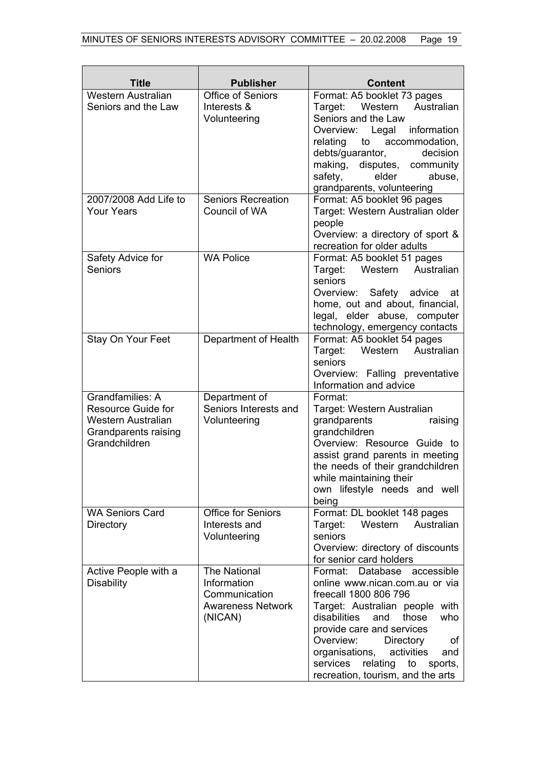| Title                                                                                                               | <b>Publisher</b>                                                                    | <b>Content</b>                                                                                                                                                                                                                                                                                                                                       |
|---------------------------------------------------------------------------------------------------------------------|-------------------------------------------------------------------------------------|------------------------------------------------------------------------------------------------------------------------------------------------------------------------------------------------------------------------------------------------------------------------------------------------------------------------------------------------------|
| <b>Western Australian</b><br>Seniors and the Law                                                                    | <b>Office of Seniors</b><br>Interests &<br>Volunteering                             | Format: A5 booklet 73 pages<br>Western<br>Australian<br>Target:<br>Seniors and the Law<br>Overview: Legal information<br>relating<br>to<br>accommodation,<br>debts/guarantor,<br>decision<br>making, disputes, community<br>safety,<br>elder<br>abuse,<br>grandparents, volunteering                                                                 |
| 2007/2008 Add Life to<br><b>Your Years</b>                                                                          | <b>Seniors Recreation</b><br>Council of WA                                          | Format: A5 booklet 96 pages<br>Target: Western Australian older<br>people<br>Overview: a directory of sport &<br>recreation for older adults                                                                                                                                                                                                         |
| Safety Advice for<br>Seniors                                                                                        | <b>WA Police</b>                                                                    | Format: A5 booklet 51 pages<br>Western Australian<br>Target:<br>seniors<br>Safety advice<br>Overview:<br>at<br>home, out and about, financial,<br>legal, elder abuse, computer<br>technology, emergency contacts                                                                                                                                     |
| Stay On Your Feet                                                                                                   | Department of Health                                                                | Format: A5 booklet 54 pages<br>Target:<br>Western<br>Australian<br>seniors<br>Overview: Falling preventative<br>Information and advice                                                                                                                                                                                                               |
| Grandfamilies: A<br><b>Resource Guide for</b><br><b>Western Australian</b><br>Grandparents raising<br>Grandchildren | Department of<br>Seniors Interests and<br>Volunteering                              | Format:<br>Target: Western Australian<br>grandparents<br>raising<br>grandchildren<br>Overview: Resource Guide to<br>assist grand parents in meeting<br>the needs of their grandchildren<br>while maintaining their<br>own lifestyle needs and well<br>being                                                                                          |
| <b>WA Seniors Card</b><br>Directory                                                                                 | <b>Office for Seniors</b><br>Interests and<br>Volunteering                          | Format: DL booklet 148 pages<br>Australian<br>Target:<br>Western<br>seniors<br>Overview: directory of discounts<br>for senior card holders                                                                                                                                                                                                           |
| Active People with a<br><b>Disability</b>                                                                           | The National<br>Information<br>Communication<br><b>Awareness Network</b><br>(NICAN) | accessible<br>Format: Database<br>online www.nican.com.au or via<br>freecall 1800 806 796<br>Target: Australian people with<br>disabilities<br>who<br>and<br>those<br>provide care and services<br>Overview:<br>Directory<br>οf<br>organisations,<br>activities<br>and<br>relating<br>services<br>sports,<br>to<br>recreation, tourism, and the arts |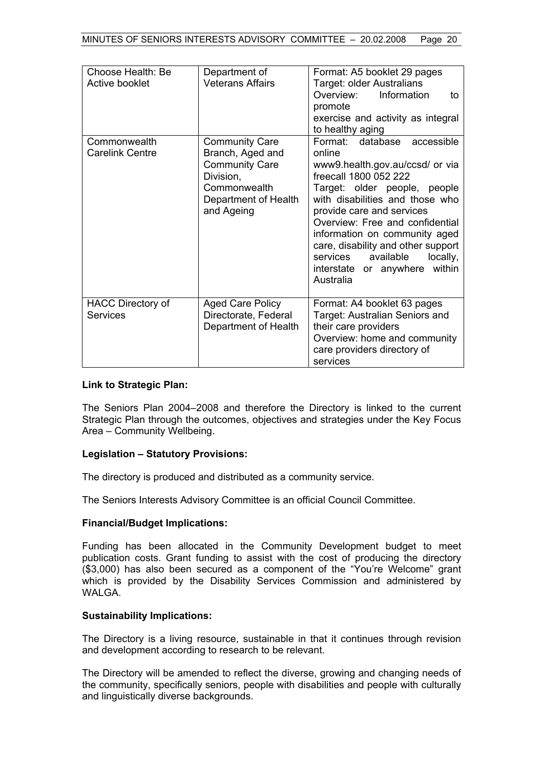| Choose Health: Be<br>Active booklet         | Department of<br><b>Veterans Affairs</b>                                                                                              | Format: A5 booklet 29 pages<br>Target: older Australians<br>Information<br>Overview:<br>to<br>promote<br>exercise and activity as integral<br>to healthy aging                                                                                                                                                                                                                                 |
|---------------------------------------------|---------------------------------------------------------------------------------------------------------------------------------------|------------------------------------------------------------------------------------------------------------------------------------------------------------------------------------------------------------------------------------------------------------------------------------------------------------------------------------------------------------------------------------------------|
| Commonwealth<br><b>Carelink Centre</b>      | <b>Community Care</b><br>Branch, Aged and<br><b>Community Care</b><br>Division,<br>Commonwealth<br>Department of Health<br>and Ageing | Format: database accessible<br>online<br>www9.health.gov.au/ccsd/ or via<br>freecall 1800 052 222<br>Target: older people, people<br>with disabilities and those who<br>provide care and services<br>Overview: Free and confidential<br>information on community aged<br>care, disability and other support<br>services<br>available<br>locally,<br>interstate or anywhere within<br>Australia |
| <b>HACC Directory of</b><br><b>Services</b> | <b>Aged Care Policy</b><br>Directorate, Federal<br>Department of Health                                                               | Format: A4 booklet 63 pages<br>Target: Australian Seniors and<br>their care providers<br>Overview: home and community<br>care providers directory of<br>services                                                                                                                                                                                                                               |

# **Link to Strategic Plan:**

The Seniors Plan 2004–2008 and therefore the Directory is linked to the current Strategic Plan through the outcomes, objectives and strategies under the Key Focus Area – Community Wellbeing.

# **Legislation – Statutory Provisions:**

The directory is produced and distributed as a community service.

The Seniors Interests Advisory Committee is an official Council Committee.

# **Financial/Budget Implications:**

Funding has been allocated in the Community Development budget to meet publication costs. Grant funding to assist with the cost of producing the directory (\$3,000) has also been secured as a component of the "You're Welcome" grant which is provided by the Disability Services Commission and administered by WAI GA

# **Sustainability Implications:**

The Directory is a living resource, sustainable in that it continues through revision and development according to research to be relevant.

The Directory will be amended to reflect the diverse, growing and changing needs of the community, specifically seniors, people with disabilities and people with culturally and linguistically diverse backgrounds.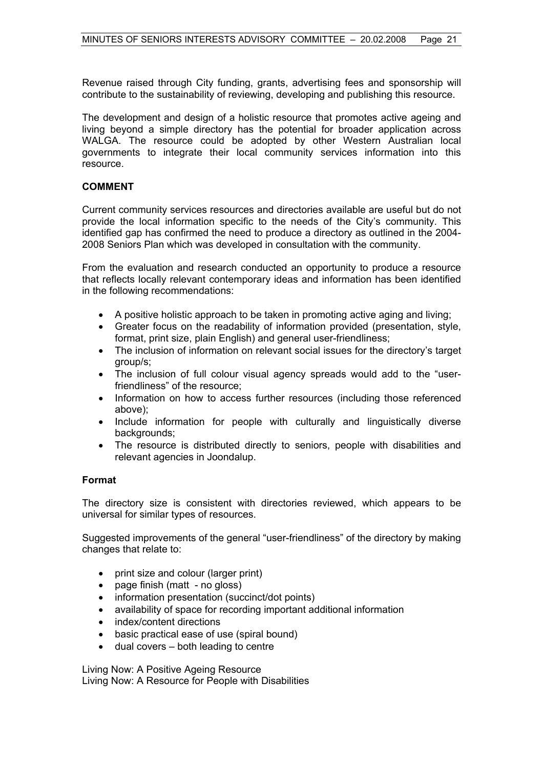Revenue raised through City funding, grants, advertising fees and sponsorship will contribute to the sustainability of reviewing, developing and publishing this resource.

The development and design of a holistic resource that promotes active ageing and living beyond a simple directory has the potential for broader application across WALGA. The resource could be adopted by other Western Australian local governments to integrate their local community services information into this resource.

# **COMMENT**

Current community services resources and directories available are useful but do not provide the local information specific to the needs of the City's community. This identified gap has confirmed the need to produce a directory as outlined in the 2004- 2008 Seniors Plan which was developed in consultation with the community.

From the evaluation and research conducted an opportunity to produce a resource that reflects locally relevant contemporary ideas and information has been identified in the following recommendations:

- A positive holistic approach to be taken in promoting active aging and living;
- Greater focus on the readability of information provided (presentation, style, format, print size, plain English) and general user-friendliness;
- The inclusion of information on relevant social issues for the directory's target group/s;
- The inclusion of full colour visual agency spreads would add to the "userfriendliness" of the resource;
- Information on how to access further resources (including those referenced above);
- Include information for people with culturally and linguistically diverse backgrounds:
- The resource is distributed directly to seniors, people with disabilities and relevant agencies in Joondalup.

# **Format**

The directory size is consistent with directories reviewed, which appears to be universal for similar types of resources.

Suggested improvements of the general "user-friendliness" of the directory by making changes that relate to:

- print size and colour (larger print)
- page finish (matt no gloss)
- information presentation (succinct/dot points)
- availability of space for recording important additional information
- index/content directions
- basic practical ease of use (spiral bound)
- dual covers both leading to centre

Living Now: A Positive Ageing Resource Living Now: A Resource for People with Disabilities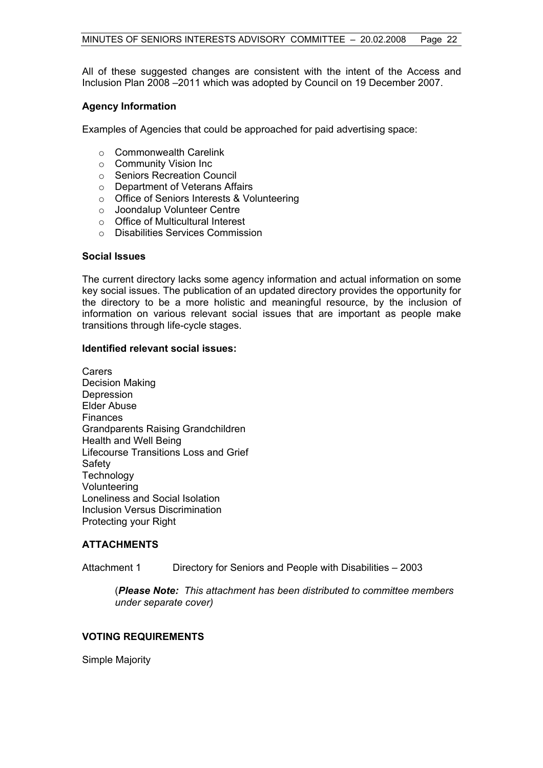All of these suggested changes are consistent with the intent of the Access and Inclusion Plan 2008 –2011 which was adopted by Council on 19 December 2007.

# **Agency Information**

Examples of Agencies that could be approached for paid advertising space:

- o Commonwealth Carelink
- o Community Vision Inc
- o Seniors Recreation Council
- o Department of Veterans Affairs
- o Office of Seniors Interests & Volunteering
- o Joondalup Volunteer Centre
- o Office of Multicultural Interest
- o Disabilities Services Commission

# **Social Issues**

The current directory lacks some agency information and actual information on some key social issues. The publication of an updated directory provides the opportunity for the directory to be a more holistic and meaningful resource, by the inclusion of information on various relevant social issues that are important as people make transitions through life-cycle stages.

# **Identified relevant social issues:**

Carers Decision Making Depression Elder Abuse **Finances** Grandparents Raising Grandchildren Health and Well Being Lifecourse Transitions Loss and Grief Safety **Technology** Volunteering Loneliness and Social Isolation Inclusion Versus Discrimination Protecting your Right

# **ATTACHMENTS**

Attachment 1 Directory for Seniors and People with Disabilities – 2003

 (*Please Note: This attachment has been distributed to committee members under separate cover)* 

# **VOTING REQUIREMENTS**

Simple Majority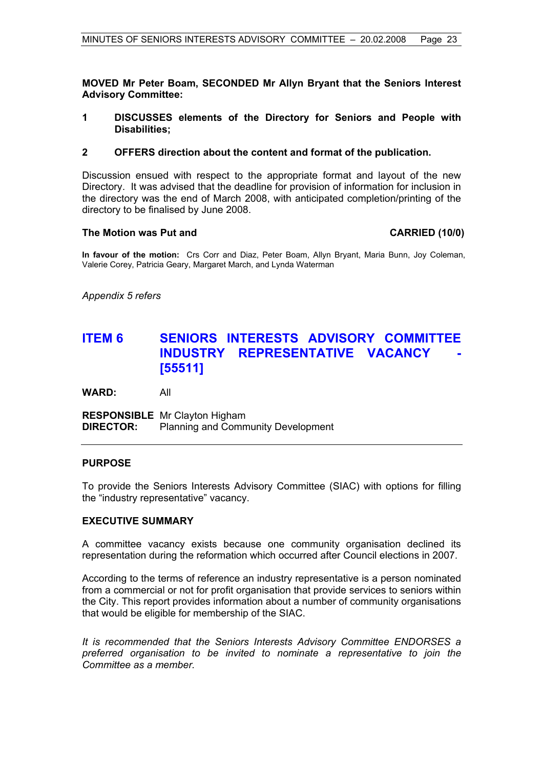**MOVED Mr Peter Boam, SECONDED Mr Allyn Bryant that the Seniors Interest Advisory Committee:** 

- **1 DISCUSSES elements of the Directory for Seniors and People with Disabilities;**
- **2 OFFERS direction about the content and format of the publication.**

Discussion ensued with respect to the appropriate format and layout of the new Directory. It was advised that the deadline for provision of information for inclusion in the directory was the end of March 2008, with anticipated completion/printing of the directory to be finalised by June 2008.

# **The Motion was Put and CARRIED (10/0)**

**In favour of the motion:** Crs Corr and Diaz, Peter Boam, Allyn Bryant, Maria Bunn, Joy Coleman, Valerie Corey, Patricia Geary, Margaret March, and Lynda Waterman

*Appendix 5 refers*

# **ITEM 6 SENIORS INTERESTS ADVISORY COMMITTEE INDUSTRY REPRESENTATIVE VACANCY [55511]**

**WARD:** All

**RESPONSIBLE** Mr Clayton Higham **DIRECTOR:** Planning and Community Development

# **PURPOSE**

To provide the Seniors Interests Advisory Committee (SIAC) with options for filling the "industry representative" vacancy.

# **EXECUTIVE SUMMARY**

A committee vacancy exists because one community organisation declined its representation during the reformation which occurred after Council elections in 2007.

According to the terms of reference an industry representative is a person nominated from a commercial or not for profit organisation that provide services to seniors within the City. This report provides information about a number of community organisations that would be eligible for membership of the SIAC.

*It is recommended that the Seniors Interests Advisory Committee ENDORSES a preferred organisation to be invited to nominate a representative to join the Committee as a member.*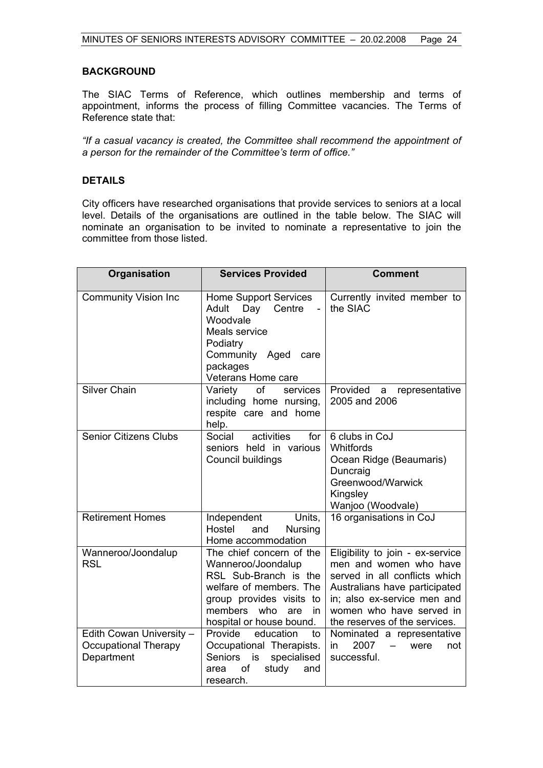# **BACKGROUND**

The SIAC Terms of Reference, which outlines membership and terms of appointment, informs the process of filling Committee vacancies. The Terms of Reference state that:

*"If a casual vacancy is created, the Committee shall recommend the appointment of a person for the remainder of the Committee's term of office."* 

# **DETAILS**

City officers have researched organisations that provide services to seniors at a local level. Details of the organisations are outlined in the table below. The SIAC will nominate an organisation to be invited to nominate a representative to join the committee from those listed.

| Organisation                                                   | <b>Services Provided</b>                                                                                                                                                               | <b>Comment</b>                                                                                                                                                                                                           |
|----------------------------------------------------------------|----------------------------------------------------------------------------------------------------------------------------------------------------------------------------------------|--------------------------------------------------------------------------------------------------------------------------------------------------------------------------------------------------------------------------|
| <b>Community Vision Inc</b>                                    | <b>Home Support Services</b><br>Adult<br>Day<br>Centre<br>$\blacksquare$<br>Woodvale<br>Meals service<br>Podiatry<br>Community Aged care<br>packages<br>Veterans Home care             | Currently invited member to<br>the SIAC                                                                                                                                                                                  |
| <b>Silver Chain</b>                                            | of<br>Variety<br>services<br>including home nursing,<br>respite care and home<br>help.                                                                                                 | Provided a<br>representative<br>2005 and 2006                                                                                                                                                                            |
| <b>Senior Citizens Clubs</b>                                   | Social<br>activities<br>for<br>seniors held in various<br>Council buildings                                                                                                            | 6 clubs in CoJ<br>Whitfords<br>Ocean Ridge (Beaumaris)<br>Duncraig<br>Greenwood/Warwick<br>Kingsley<br>Wanjoo (Woodvale)                                                                                                 |
| <b>Retirement Homes</b>                                        | Units,<br>Independent<br>Hostel<br>and<br>Nursing<br>Home accommodation                                                                                                                | 16 organisations in CoJ                                                                                                                                                                                                  |
| Wanneroo/Joondalup<br><b>RSL</b>                               | The chief concern of the<br>Wanneroo/Joondalup<br>RSL Sub-Branch is the<br>welfare of members. The<br>group provides visits to<br>members who<br>are<br>in<br>hospital or house bound. | Eligibility to join - ex-service<br>men and women who have<br>served in all conflicts which<br>Australians have participated<br>in; also ex-service men and<br>women who have served in<br>the reserves of the services. |
| Edith Cowan University -<br>Occupational Therapy<br>Department | Provide<br>education<br>to<br>Occupational Therapists.<br><b>Seniors</b><br>specialised<br>is<br>of<br>study<br>area<br>and<br>research.                                               | Nominated a representative<br>2007<br>in<br>$\qquad \qquad -$<br>were<br>not<br>successful.                                                                                                                              |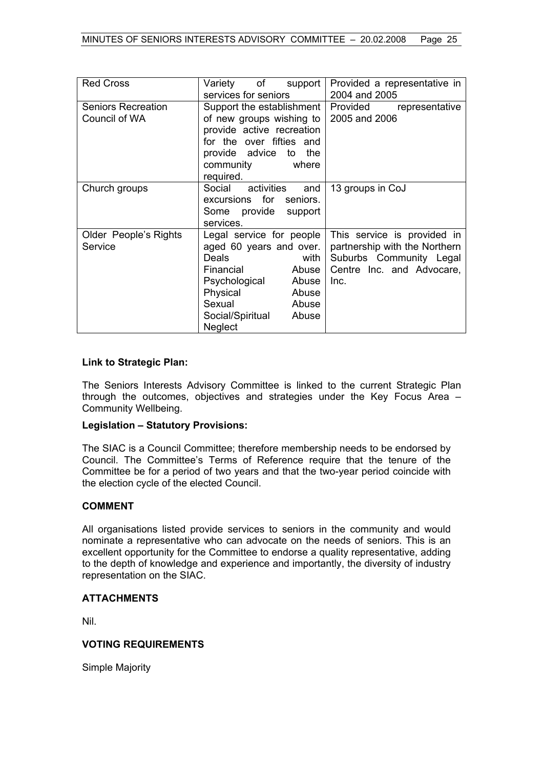| <b>Red Cross</b>                           | Variety of support<br>services for seniors                                                                                                                                                    | Provided a representative in<br>2004 and 2005                                                                                |
|--------------------------------------------|-----------------------------------------------------------------------------------------------------------------------------------------------------------------------------------------------|------------------------------------------------------------------------------------------------------------------------------|
| <b>Seniors Recreation</b><br>Council of WA | Support the establishment  <br>of new groups wishing to<br>provide active recreation<br>for the over fifties and<br>provide advice<br>the<br>to<br>community<br>where<br>required.            | Provided<br>representative<br>2005 and 2006                                                                                  |
| Church groups                              | Social activities<br>and<br>excursions for seniors.<br>Some provide support<br>services.                                                                                                      | 13 groups in CoJ                                                                                                             |
| Older People's Rights<br>Service           | Legal service for people<br>aged 60 years and over.<br>Deals<br>with<br>Financial<br>Abuse  <br>Psychological Abuse<br>Physical<br>Abuse<br>Sexual Abuse<br>Social/Spiritual Abuse<br>Neglect | This service is provided in<br>partnership with the Northern<br>Suburbs Community Legal<br>Centre Inc. and Advocare,<br>Inc. |

# **Link to Strategic Plan:**

The Seniors Interests Advisory Committee is linked to the current Strategic Plan through the outcomes, objectives and strategies under the Key Focus Area – Community Wellbeing.

# **Legislation – Statutory Provisions:**

The SIAC is a Council Committee; therefore membership needs to be endorsed by Council. The Committee's Terms of Reference require that the tenure of the Committee be for a period of two years and that the two-year period coincide with the election cycle of the elected Council.

# **COMMENT**

All organisations listed provide services to seniors in the community and would nominate a representative who can advocate on the needs of seniors. This is an excellent opportunity for the Committee to endorse a quality representative, adding to the depth of knowledge and experience and importantly, the diversity of industry representation on the SIAC.

# **ATTACHMENTS**

Nil.

# **VOTING REQUIREMENTS**

Simple Majority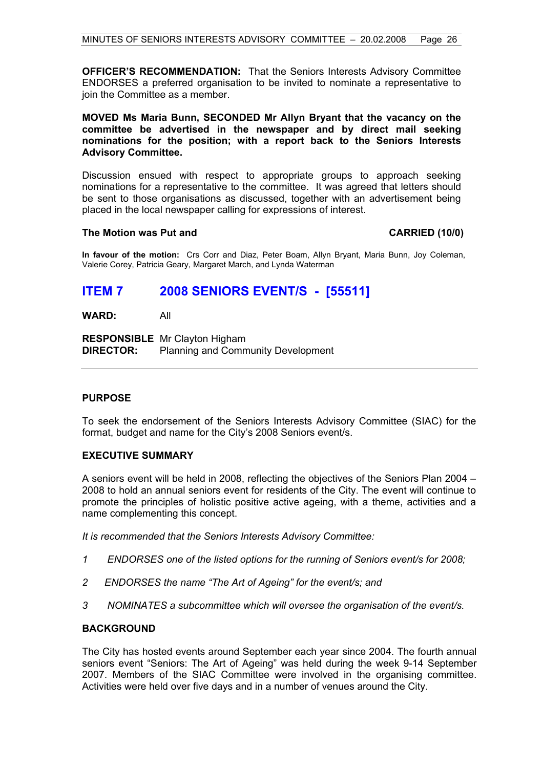**OFFICER'S RECOMMENDATION:** That the Seniors Interests Advisory Committee ENDORSES a preferred organisation to be invited to nominate a representative to join the Committee as a member.

**MOVED Ms Maria Bunn, SECONDED Mr Allyn Bryant that the vacancy on the committee be advertised in the newspaper and by direct mail seeking nominations for the position; with a report back to the Seniors Interests Advisory Committee.** 

Discussion ensued with respect to appropriate groups to approach seeking nominations for a representative to the committee. It was agreed that letters should be sent to those organisations as discussed, together with an advertisement being placed in the local newspaper calling for expressions of interest.

# **The Motion was Put and CARRIED (10/0)**

**In favour of the motion:** Crs Corr and Diaz, Peter Boam, Allyn Bryant, Maria Bunn, Joy Coleman, Valerie Corey, Patricia Geary, Margaret March, and Lynda Waterman

# **ITEM 7 2008 SENIORS EVENT/S - [55511]**

# **WARD:** All

**RESPONSIBLE** Mr Clayton Higham **DIRECTOR:** Planning and Community Development

# **PURPOSE**

To seek the endorsement of the Seniors Interests Advisory Committee (SIAC) for the format, budget and name for the City's 2008 Seniors event/s.

# **EXECUTIVE SUMMARY**

A seniors event will be held in 2008, reflecting the objectives of the Seniors Plan 2004 – 2008 to hold an annual seniors event for residents of the City. The event will continue to promote the principles of holistic positive active ageing, with a theme, activities and a name complementing this concept.

*It is recommended that the Seniors Interests Advisory Committee:* 

- *1 ENDORSES one of the listed options for the running of Seniors event/s for 2008;*
- *2 ENDORSES the name "The Art of Ageing" for the event/s; and*
- *3 NOMINATES a subcommittee which will oversee the organisation of the event/s.*

# **BACKGROUND**

The City has hosted events around September each year since 2004. The fourth annual seniors event "Seniors: The Art of Ageing" was held during the week 9-14 September 2007. Members of the SIAC Committee were involved in the organising committee. Activities were held over five days and in a number of venues around the City.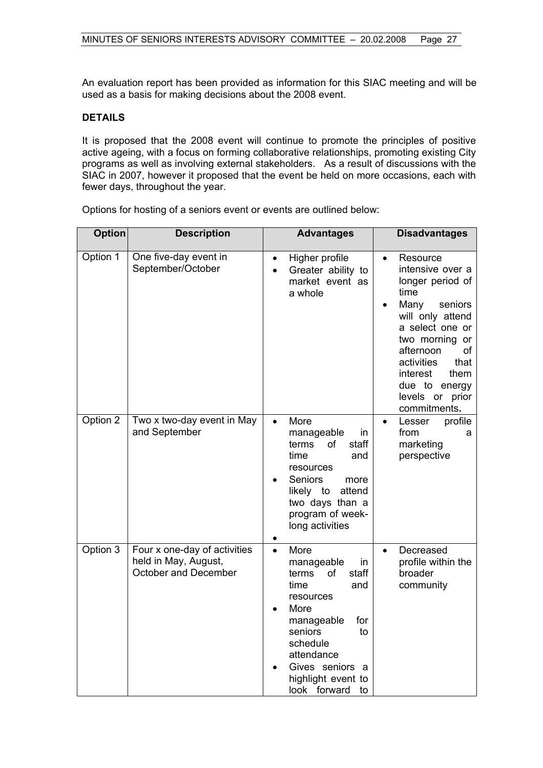An evaluation report has been provided as information for this SIAC meeting and will be used as a basis for making decisions about the 2008 event.

# **DETAILS**

It is proposed that the 2008 event will continue to promote the principles of positive active ageing, with a focus on forming collaborative relationships, promoting existing City programs as well as involving external stakeholders. As a result of discussions with the SIAC in 2007, however it proposed that the event be held on more occasions, each with fewer days, throughout the year.

| <b>Option</b> | <b>Description</b>                                                                  | <b>Advantages</b>                                                                                                                                                                                                                | <b>Disadvantages</b>                                                                                                                                                                                                                                                                  |
|---------------|-------------------------------------------------------------------------------------|----------------------------------------------------------------------------------------------------------------------------------------------------------------------------------------------------------------------------------|---------------------------------------------------------------------------------------------------------------------------------------------------------------------------------------------------------------------------------------------------------------------------------------|
| Option 1      | One five-day event in<br>September/October                                          | Higher profile<br>$\bullet$<br>Greater ability to<br>market event as<br>a whole                                                                                                                                                  | Resource<br>$\bullet$<br>intensive over a<br>longer period of<br>time<br>Many<br>seniors<br>$\bullet$<br>will only attend<br>a select one or<br>two morning<br>or<br>afternoon<br>оf<br>activities<br>that<br>interest<br>them<br>due to energy<br>levels or<br>prior<br>commitments. |
| Option 2      | Two x two-day event in May<br>and September                                         | More<br>$\bullet$<br>manageable<br>in<br>terms<br>of<br>staff<br>time<br>and<br>resources<br>Seniors<br>more<br>attend<br>likely to<br>two days than a<br>program of week-<br>long activities                                    | profile<br>Lesser<br>$\bullet$<br>from<br>а<br>marketing<br>perspective                                                                                                                                                                                                               |
| Option 3      | Four x one-day of activities<br>held in May, August,<br><b>October and December</b> | More<br>$\bullet$<br>manageable<br>in<br>of<br>staff<br>terms<br>time<br>and<br>resources<br>More<br>for<br>manageable<br>seniors<br>to<br>schedule<br>attendance<br>Gives seniors a<br>highlight event to<br>look forward<br>to | Decreased<br>$\bullet$<br>profile within the<br>broader<br>community                                                                                                                                                                                                                  |

Options for hosting of a seniors event or events are outlined below: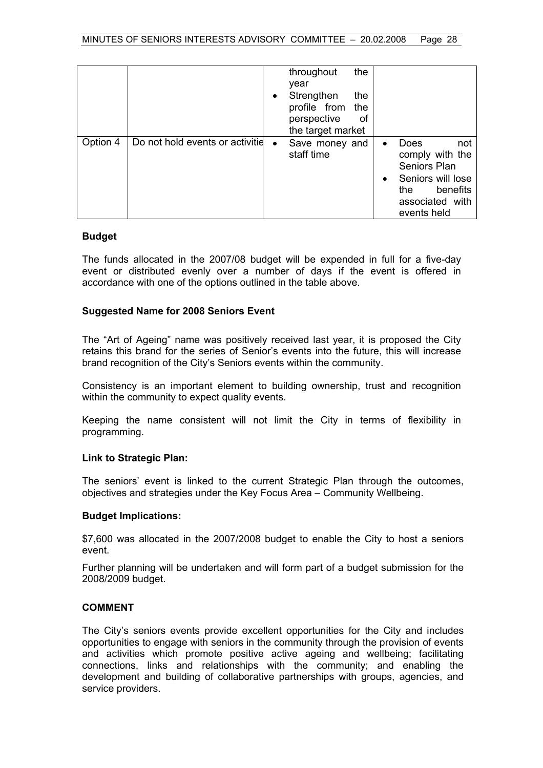|          |                                 |           | the<br>throughout<br>year<br>Strengthen<br>the<br>profile from<br>the<br>perspective<br>оf<br>the target market |                        |                                                                                                                          |
|----------|---------------------------------|-----------|-----------------------------------------------------------------------------------------------------------------|------------------------|--------------------------------------------------------------------------------------------------------------------------|
| Option 4 | Do not hold events or activitie | $\bullet$ | Save money and<br>staff time                                                                                    | $\bullet$<br>$\bullet$ | Does<br>not<br>comply with the<br>Seniors Plan<br>Seniors will lose<br>benefits<br>the<br>associated with<br>events held |

# **Budget**

The funds allocated in the 2007/08 budget will be expended in full for a five-day event or distributed evenly over a number of days if the event is offered in accordance with one of the options outlined in the table above.

# **Suggested Name for 2008 Seniors Event**

The "Art of Ageing" name was positively received last year, it is proposed the City retains this brand for the series of Senior's events into the future, this will increase brand recognition of the City's Seniors events within the community.

Consistency is an important element to building ownership, trust and recognition within the community to expect quality events.

Keeping the name consistent will not limit the City in terms of flexibility in programming.

# **Link to Strategic Plan:**

The seniors' event is linked to the current Strategic Plan through the outcomes, objectives and strategies under the Key Focus Area – Community Wellbeing.

# **Budget Implications:**

\$7,600 was allocated in the 2007/2008 budget to enable the City to host a seniors event.

Further planning will be undertaken and will form part of a budget submission for the 2008/2009 budget.

# **COMMENT**

The City's seniors events provide excellent opportunities for the City and includes opportunities to engage with seniors in the community through the provision of events and activities which promote positive active ageing and wellbeing; facilitating connections, links and relationships with the community; and enabling the development and building of collaborative partnerships with groups, agencies, and service providers.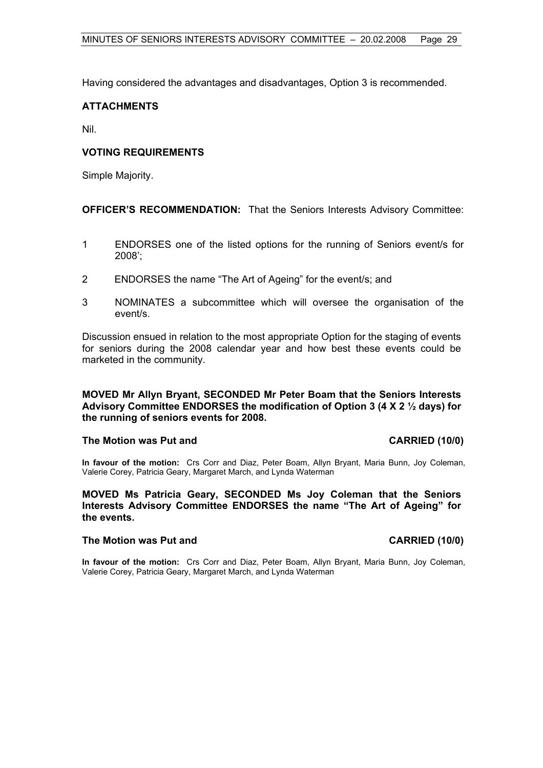Having considered the advantages and disadvantages, Option 3 is recommended.

# **ATTACHMENTS**

Nil.

# **VOTING REQUIREMENTS**

Simple Majority.

**OFFICER'S RECOMMENDATION:** That the Seniors Interests Advisory Committee:

- 1 ENDORSES one of the listed options for the running of Seniors event/s for 2008';
- 2 ENDORSES the name "The Art of Ageing" for the event/s; and
- 3 NOMINATES a subcommittee which will oversee the organisation of the event/s.

Discussion ensued in relation to the most appropriate Option for the staging of events for seniors during the 2008 calendar year and how best these events could be marketed in the community.

# **MOVED Mr Allyn Bryant, SECONDED Mr Peter Boam that the Seniors Interests Advisory Committee ENDORSES the modification of Option 3 (4 X 2 ½ days) for the running of seniors events for 2008.**

# The Motion was Put and **CARRIED** (10/0)

**In favour of the motion:** Crs Corr and Diaz, Peter Boam, Allyn Bryant, Maria Bunn, Joy Coleman, Valerie Corey, Patricia Geary, Margaret March, and Lynda Waterman

**MOVED Ms Patricia Geary, SECONDED Ms Joy Coleman that the Seniors Interests Advisory Committee ENDORSES the name "The Art of Ageing" for the events.** 

# **The Motion was Put and CARRIED (10/0)**

**In favour of the motion:** Crs Corr and Diaz, Peter Boam, Allyn Bryant, Maria Bunn, Joy Coleman, Valerie Corey, Patricia Geary, Margaret March, and Lynda Waterman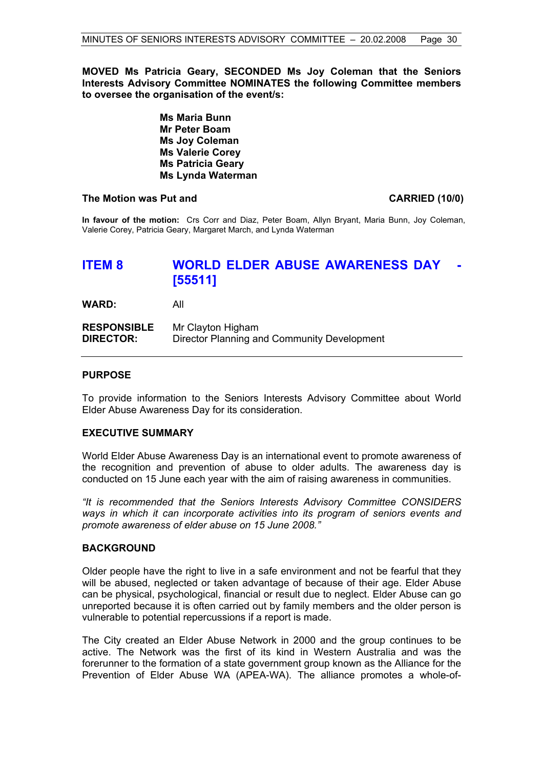**MOVED Ms Patricia Geary, SECONDED Ms Joy Coleman that the Seniors Interests Advisory Committee NOMINATES the following Committee members to oversee the organisation of the event/s:** 

> **Ms Maria Bunn Mr Peter Boam Ms Joy Coleman Ms Valerie Corey Ms Patricia Geary Ms Lynda Waterman**

#### **The Motion was Put and CARRIED (10/0)**

**In favour of the motion:** Crs Corr and Diaz, Peter Boam, Allyn Bryant, Maria Bunn, Joy Coleman, Valerie Corey, Patricia Geary, Margaret March, and Lynda Waterman

# **ITEM 8 WORLD ELDER ABUSE AWARENESS DAY [55511]**

**WARD:** All

| <b>RESPONSIBLE</b> | Mr Clayton Higham                           |
|--------------------|---------------------------------------------|
| <b>DIRECTOR:</b>   | Director Planning and Community Development |

# **PURPOSE**

To provide information to the Seniors Interests Advisory Committee about World Elder Abuse Awareness Day for its consideration.

#### **EXECUTIVE SUMMARY**

World Elder Abuse Awareness Day is an international event to promote awareness of the recognition and prevention of abuse to older adults. The awareness day is conducted on 15 June each year with the aim of raising awareness in communities.

*"It is recommended that the Seniors Interests Advisory Committee CONSIDERS ways in which it can incorporate activities into its program of seniors events and promote awareness of elder abuse on 15 June 2008."* 

#### **BACKGROUND**

Older people have the right to live in a safe environment and not be fearful that they will be abused, neglected or taken advantage of because of their age. Elder Abuse can be physical, psychological, financial or result due to neglect. Elder Abuse can go unreported because it is often carried out by family members and the older person is vulnerable to potential repercussions if a report is made.

The City created an Elder Abuse Network in 2000 and the group continues to be active. The Network was the first of its kind in Western Australia and was the forerunner to the formation of a state government group known as the Alliance for the Prevention of Elder Abuse WA (APEA-WA). The alliance promotes a whole-of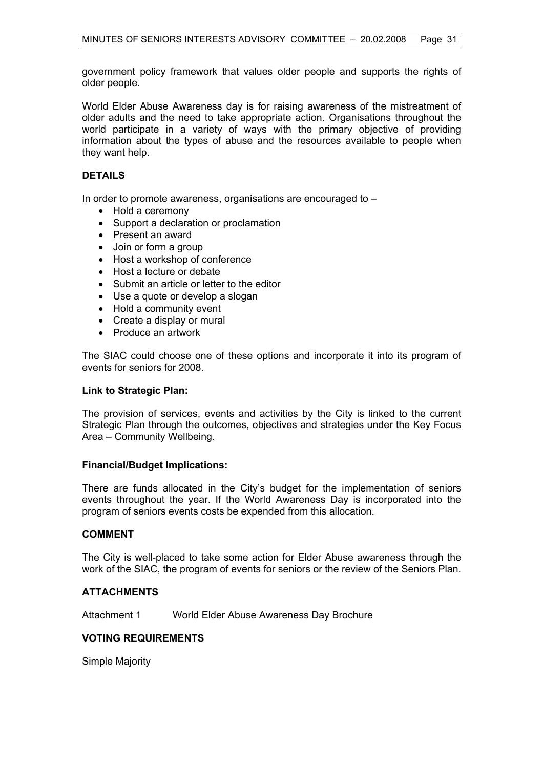government policy framework that values older people and supports the rights of older people.

World Elder Abuse Awareness day is for raising awareness of the mistreatment of older adults and the need to take appropriate action. Organisations throughout the world participate in a variety of ways with the primary objective of providing information about the types of abuse and the resources available to people when they want help.

# **DETAILS**

In order to promote awareness, organisations are encouraged to –

- Hold a ceremony
- Support a declaration or proclamation
- Present an award
- Join or form a group
- Host a workshop of conference
- Host a lecture or debate
- Submit an article or letter to the editor
- Use a quote or develop a slogan
- Hold a community event
- Create a display or mural
- Produce an artwork

The SIAC could choose one of these options and incorporate it into its program of events for seniors for 2008.

# **Link to Strategic Plan:**

The provision of services, events and activities by the City is linked to the current Strategic Plan through the outcomes, objectives and strategies under the Key Focus Area – Community Wellbeing.

# **Financial/Budget Implications:**

There are funds allocated in the City's budget for the implementation of seniors events throughout the year. If the World Awareness Day is incorporated into the program of seniors events costs be expended from this allocation.

# **COMMENT**

The City is well-placed to take some action for Elder Abuse awareness through the work of the SIAC, the program of events for seniors or the review of the Seniors Plan.

# **ATTACHMENTS**

Attachment 1 World Elder Abuse Awareness Day Brochure

# **VOTING REQUIREMENTS**

Simple Majority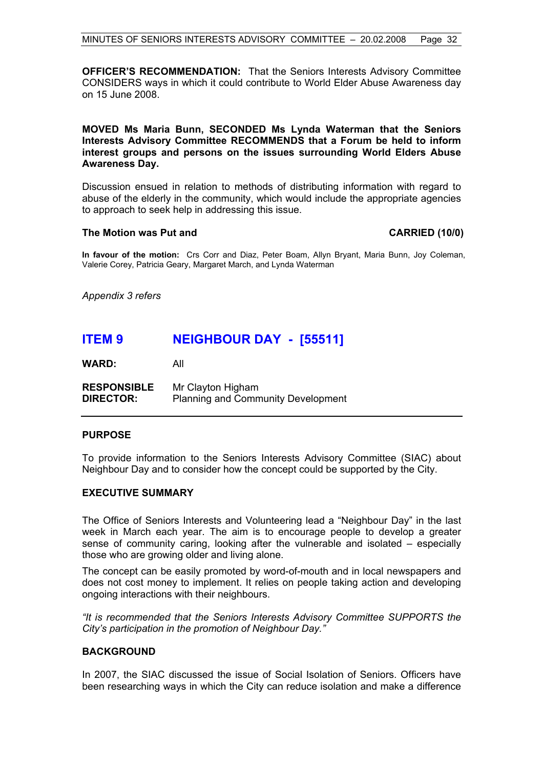**OFFICER'S RECOMMENDATION:** That the Seniors Interests Advisory Committee CONSIDERS ways in which it could contribute to World Elder Abuse Awareness day on 15 June 2008.

# **MOVED Ms Maria Bunn, SECONDED Ms Lynda Waterman that the Seniors Interests Advisory Committee RECOMMENDS that a Forum be held to inform interest groups and persons on the issues surrounding World Elders Abuse Awareness Day.**

Discussion ensued in relation to methods of distributing information with regard to abuse of the elderly in the community, which would include the appropriate agencies to approach to seek help in addressing this issue.

# **The Motion was Put and CARRIED (10/0)**

**In favour of the motion:** Crs Corr and Diaz, Peter Boam, Allyn Bryant, Maria Bunn, Joy Coleman, Valerie Corey, Patricia Geary, Margaret March, and Lynda Waterman

*Appendix 3 refers* 

# **ITEM 9 NEIGHBOUR DAY - [55511]**

**WARD:** All

**RESPONSIBLE** Mr Clayton Higham **DIRECTOR:** Planning and Community Development

# **PURPOSE**

To provide information to the Seniors Interests Advisory Committee (SIAC) about Neighbour Day and to consider how the concept could be supported by the City.

# **EXECUTIVE SUMMARY**

The Office of Seniors Interests and Volunteering lead a "Neighbour Day" in the last week in March each year. The aim is to encourage people to develop a greater sense of community caring, looking after the vulnerable and isolated – especially those who are growing older and living alone.

The concept can be easily promoted by word-of-mouth and in local newspapers and does not cost money to implement. It relies on people taking action and developing ongoing interactions with their neighbours.

*"It is recommended that the Seniors Interests Advisory Committee SUPPORTS the City's participation in the promotion of Neighbour Day."* 

# **BACKGROUND**

In 2007, the SIAC discussed the issue of Social Isolation of Seniors. Officers have been researching ways in which the City can reduce isolation and make a difference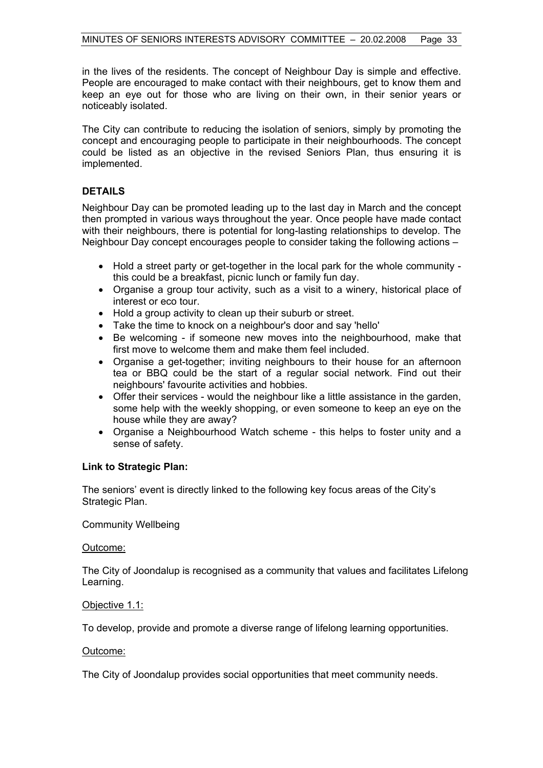in the lives of the residents. The concept of Neighbour Day is simple and effective. People are encouraged to make contact with their neighbours, get to know them and keep an eye out for those who are living on their own, in their senior years or noticeably isolated.

The City can contribute to reducing the isolation of seniors, simply by promoting the concept and encouraging people to participate in their neighbourhoods. The concept could be listed as an objective in the revised Seniors Plan, thus ensuring it is implemented.

# **DETAILS**

Neighbour Day can be promoted leading up to the last day in March and the concept then prompted in various ways throughout the year. Once people have made contact with their neighbours, there is potential for long-lasting relationships to develop. The Neighbour Day concept encourages people to consider taking the following actions –

- Hold a street party or get-together in the local park for the whole community this could be a breakfast, picnic lunch or family fun day.
- Organise a group tour activity, such as a visit to a winery, historical place of interest or eco tour.
- Hold a group activity to clean up their suburb or street.
- Take the time to knock on a neighbour's door and say 'hello'
- Be welcoming if someone new moves into the neighbourhood, make that first move to welcome them and make them feel included.
- Organise a get-together; inviting neighbours to their house for an afternoon tea or BBQ could be the start of a regular social network. Find out their neighbours' favourite activities and hobbies.
- Offer their services would the neighbour like a little assistance in the garden, some help with the weekly shopping, or even someone to keep an eye on the house while they are away?
- Organise a Neighbourhood Watch scheme this helps to foster unity and a sense of safety.

# **Link to Strategic Plan:**

The seniors' event is directly linked to the following key focus areas of the City's Strategic Plan.

Community Wellbeing

Outcome:

The City of Joondalup is recognised as a community that values and facilitates Lifelong Learning.

# Objective 1.1:

To develop, provide and promote a diverse range of lifelong learning opportunities.

# Outcome:

The City of Joondalup provides social opportunities that meet community needs.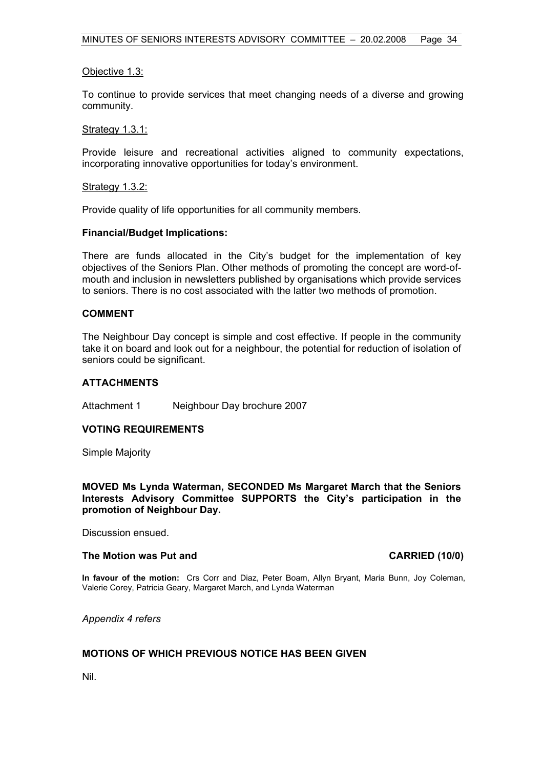# Objective 1.3:

To continue to provide services that meet changing needs of a diverse and growing community.

# Strategy 1.3.1:

Provide leisure and recreational activities aligned to community expectations, incorporating innovative opportunities for today's environment.

#### Strategy 1.3.2:

Provide quality of life opportunities for all community members.

# **Financial/Budget Implications:**

There are funds allocated in the City's budget for the implementation of key objectives of the Seniors Plan. Other methods of promoting the concept are word-ofmouth and inclusion in newsletters published by organisations which provide services to seniors. There is no cost associated with the latter two methods of promotion.

#### **COMMENT**

The Neighbour Day concept is simple and cost effective. If people in the community take it on board and look out for a neighbour, the potential for reduction of isolation of seniors could be significant.

#### **ATTACHMENTS**

Attachment 1 Neighbour Day brochure 2007

# **VOTING REQUIREMENTS**

Simple Majority

**MOVED Ms Lynda Waterman, SECONDED Ms Margaret March that the Seniors Interests Advisory Committee SUPPORTS the City's participation in the promotion of Neighbour Day.** 

Discussion ensued.

#### **The Motion was Put and CARRIED (10/0)**

**In favour of the motion:** Crs Corr and Diaz, Peter Boam, Allyn Bryant, Maria Bunn, Joy Coleman, Valerie Corey, Patricia Geary, Margaret March, and Lynda Waterman

*Appendix 4 refers*

# **MOTIONS OF WHICH PREVIOUS NOTICE HAS BEEN GIVEN**

Nil.